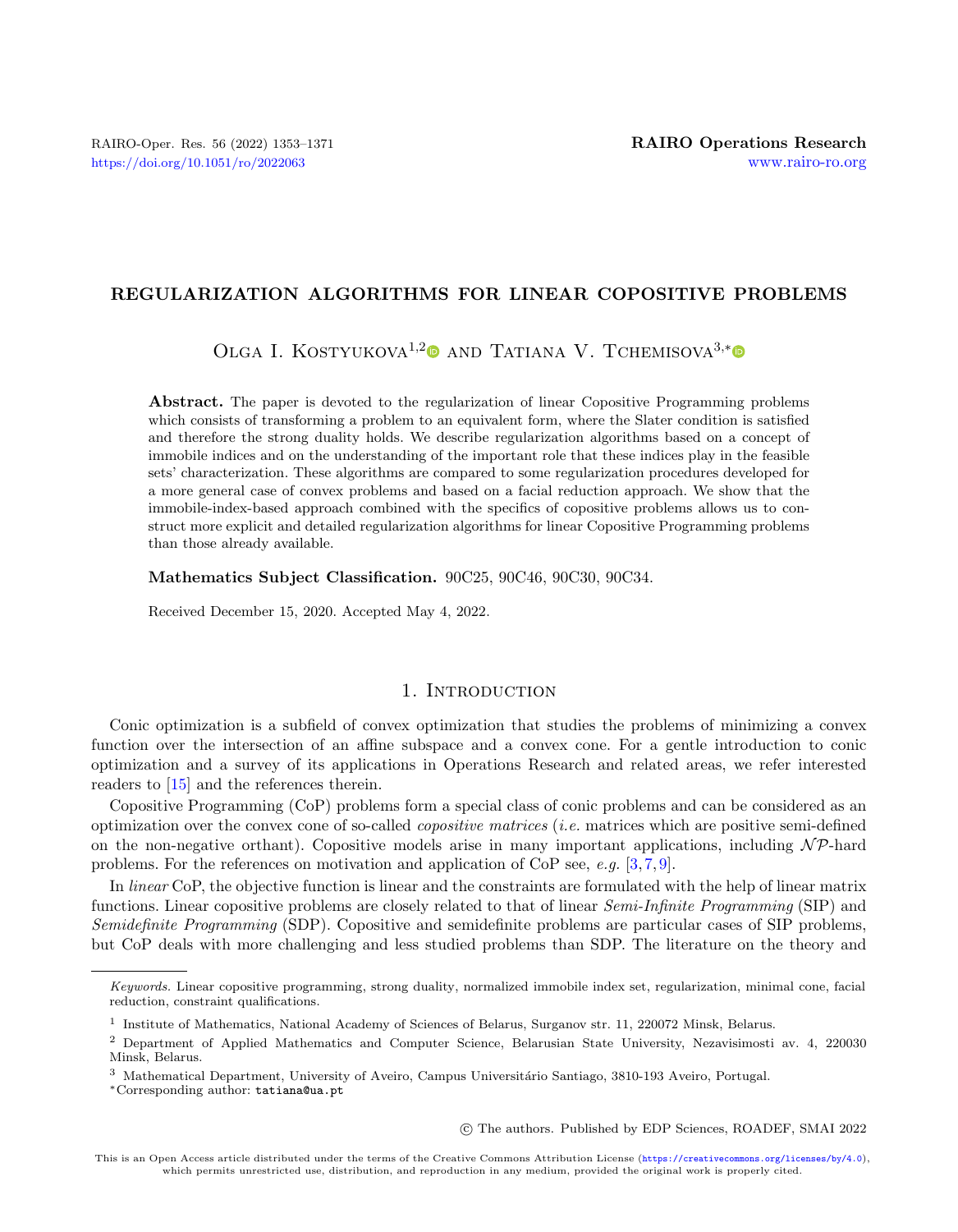# REGULARIZATION ALGORITHMS FOR LINEAR COPOSITIVE PROBLEMS

OLGA I. KOSTYUKOVA<sup>1,[2](https://orcid.org/0000-0002-0959-0831)</sup><sup>0</sup> AND TATIANA V. TCHEMISOVA<sup>3,[\\*](https://orcid.org/0000-0002-2678-2552)</sup><sup>0</sup>

Abstract. The paper is devoted to the regularization of linear Copositive Programming problems which consists of transforming a problem to an equivalent form, where the Slater condition is satisfied and therefore the strong duality holds. We describe regularization algorithms based on a concept of immobile indices and on the understanding of the important role that these indices play in the feasible sets' characterization. These algorithms are compared to some regularization procedures developed for a more general case of convex problems and based on a facial reduction approach. We show that the immobile-index-based approach combined with the specifics of copositive problems allows us to construct more explicit and detailed regularization algorithms for linear Copositive Programming problems than those already available.

Mathematics Subject Classification. 90C25, 90C46, 90C30, 90C34.

Received December 15, 2020. Accepted May 4, 2022.

# 1. Introduction

Conic optimization is a subfield of convex optimization that studies the problems of minimizing a convex function over the intersection of an affine subspace and a convex cone. For a gentle introduction to conic optimization and a survey of its applications in Operations Research and related areas, we refer interested readers to [\[15\]](#page-18-0) and the references therein.

Copositive Programming (CoP) problems form a special class of conic problems and can be considered as an optimization over the convex cone of so-called *copositive matrices* (*i.e.* matrices which are positive semi-defined on the non-negative orthant). Copositive models arise in many important applications, including  $N\mathcal{P}$ -hard problems. For the references on motivation and application of CoP see,  $e.g.$  [\[3,](#page-17-0)[7,](#page-18-1)[9\]](#page-18-2).

In linear CoP, the objective function is linear and the constraints are formulated with the help of linear matrix functions. Linear copositive problems are closely related to that of linear Semi-Infinite Programming (SIP) and Semidefinite Programming (SDP). Copositive and semidefinite problems are particular cases of SIP problems, but CoP deals with more challenging and less studied problems than SDP. The literature on the theory and

○c The authors. Published by EDP Sciences, ROADEF, SMAI 2022

Keywords. Linear copositive programming, strong duality, normalized immobile index set, regularization, minimal cone, facial reduction, constraint qualifications.

<sup>&</sup>lt;sup>1</sup> Institute of Mathematics, National Academy of Sciences of Belarus, Surganov str. 11, 220072 Minsk, Belarus.

<sup>2</sup> Department of Applied Mathematics and Computer Science, Belarusian State University, Nezavisimosti av. 4, 220030 Minsk, Belarus.

<sup>&</sup>lt;sup>3</sup> Mathematical Department, University of Aveiro, Campus Universitário Santiago, 3810-193 Aveiro, Portugal.

<sup>\*</sup>Corresponding author: [tatiana@ua.pt](mailto:tatiana@ua.pt)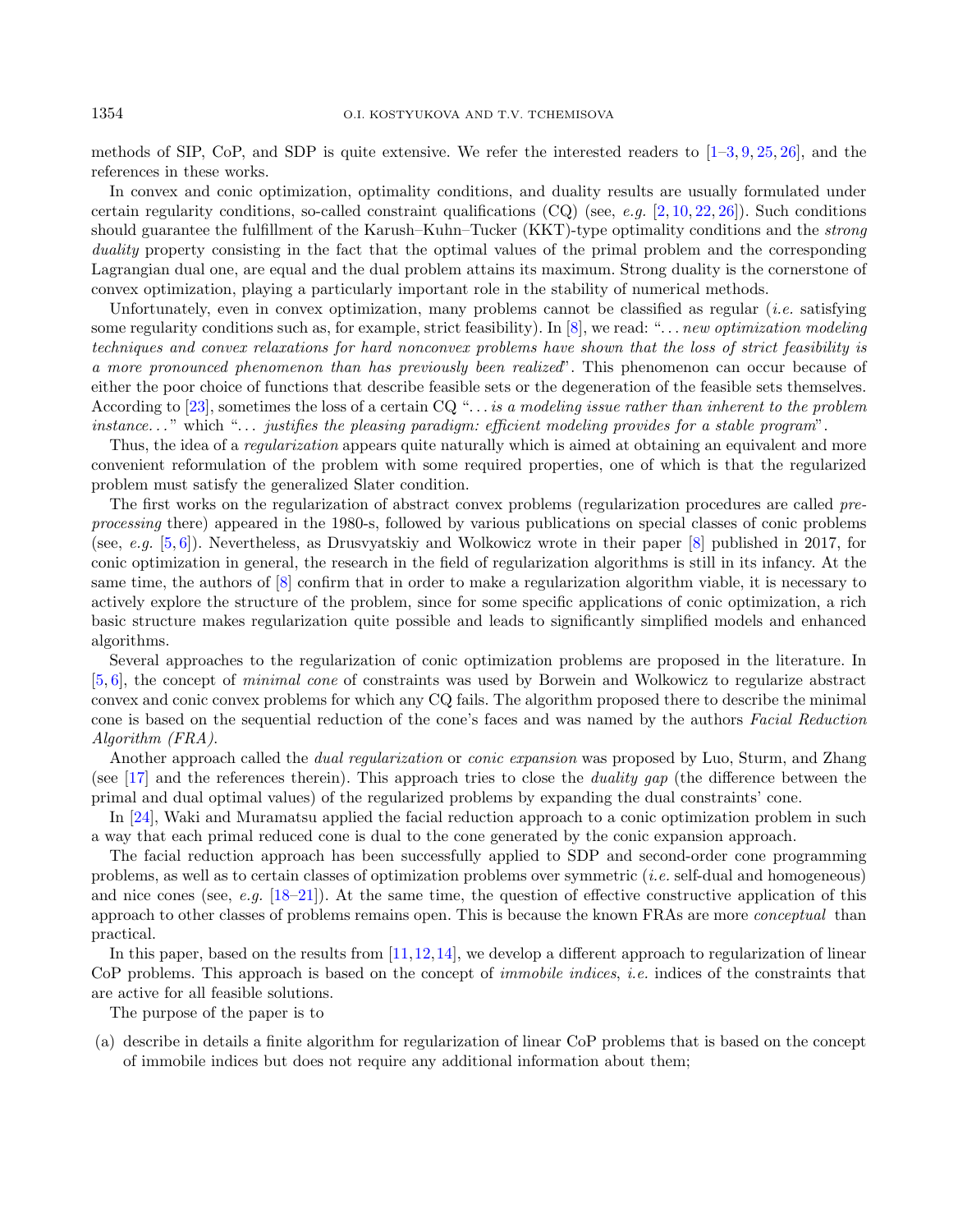methods of SIP, CoP, and SDP is quite extensive. We refer the interested readers to  $[1-3, 9, 25, 26]$  $[1-3, 9, 25, 26]$  $[1-3, 9, 25, 26]$  $[1-3, 9, 25, 26]$  $[1-3, 9, 25, 26]$  $[1-3, 9, 25, 26]$  $[1-3, 9, 25, 26]$ , and the references in these works.

In convex and conic optimization, optimality conditions, and duality results are usually formulated under certain regularity conditions, so-called constraint qualifications  $(CQ)$  (see, e.g.  $[2, 10, 22, 26]$  $[2, 10, 22, 26]$  $[2, 10, 22, 26]$  $[2, 10, 22, 26]$  $[2, 10, 22, 26]$  $[2, 10, 22, 26]$  $[2, 10, 22, 26]$ ). Such conditions should guarantee the fulfillment of the Karush–Kuhn–Tucker (KKT)-type optimality conditions and the strong duality property consisting in the fact that the optimal values of the primal problem and the corresponding Lagrangian dual one, are equal and the dual problem attains its maximum. Strong duality is the cornerstone of convex optimization, playing a particularly important role in the stability of numerical methods.

Unfortunately, even in convex optimization, many problems cannot be classified as regular *(i.e.* satisfying some regularity conditions such as, for example, strict feasibility). In  $[8]$ , we read: "... *new optimization modeling* techniques and convex relaxations for hard nonconvex problems have shown that the loss of strict feasibility is a more pronounced phenomenon than has previously been realized". This phenomenon can occur because of either the poor choice of functions that describe feasible sets or the degeneration of the feasible sets themselves. According to [\[23\]](#page-18-8), sometimes the loss of a certain  $CQ^{\mu}$ ... is a modeling issue rather than inherent to the problem instance..." which "... justifies the pleasing paradigm: efficient modeling provides for a stable program".

Thus, the idea of a *regularization* appears quite naturally which is aimed at obtaining an equivalent and more convenient reformulation of the problem with some required properties, one of which is that the regularized problem must satisfy the generalized Slater condition.

The first works on the regularization of abstract convex problems (regularization procedures are called preprocessing there) appeared in the 1980-s, followed by various publications on special classes of conic problems (see, e.g.  $[5, 6]$  $[5, 6]$  $[5, 6]$ ). Nevertheless, as Drusvyatskiy and Wolkowicz wrote in their paper [\[8\]](#page-18-7) published in 2017, for conic optimization in general, the research in the field of regularization algorithms is still in its infancy. At the same time, the authors of [\[8\]](#page-18-7) confirm that in order to make a regularization algorithm viable, it is necessary to actively explore the structure of the problem, since for some specific applications of conic optimization, a rich basic structure makes regularization quite possible and leads to significantly simplified models and enhanced algorithms.

Several approaches to the regularization of conic optimization problems are proposed in the literature. In [\[5,](#page-18-9) [6\]](#page-18-10), the concept of minimal cone of constraints was used by Borwein and Wolkowicz to regularize abstract convex and conic convex problems for which any CQ fails. The algorithm proposed there to describe the minimal cone is based on the sequential reduction of the cone's faces and was named by the authors Facial Reduction Algorithm (FRA).

Another approach called the dual regularization or conic expansion was proposed by Luo, Sturm, and Zhang (see [\[17\]](#page-18-11) and the references therein). This approach tries to close the *duality gap* (the difference between the primal and dual optimal values) of the regularized problems by expanding the dual constraints' cone.

In [\[24\]](#page-18-12), Waki and Muramatsu applied the facial reduction approach to a conic optimization problem in such a way that each primal reduced cone is dual to the cone generated by the conic expansion approach.

The facial reduction approach has been successfully applied to SDP and second-order cone programming problems, as well as to certain classes of optimization problems over symmetric (i.e. self-dual and homogeneous) and nice cones (see, e.g.  $[18-21]$  $[18-21]$ ). At the same time, the question of effective constructive application of this approach to other classes of problems remains open. This is because the known FRAs are more conceptual than practical.

In this paper, based on the results from [\[11,](#page-18-15)[12,](#page-18-16)[14\]](#page-18-17), we develop a different approach to regularization of linear CoP problems. This approach is based on the concept of immobile indices, i.e. indices of the constraints that are active for all feasible solutions.

The purpose of the paper is to

(a) describe in details a finite algorithm for regularization of linear CoP problems that is based on the concept of immobile indices but does not require any additional information about them;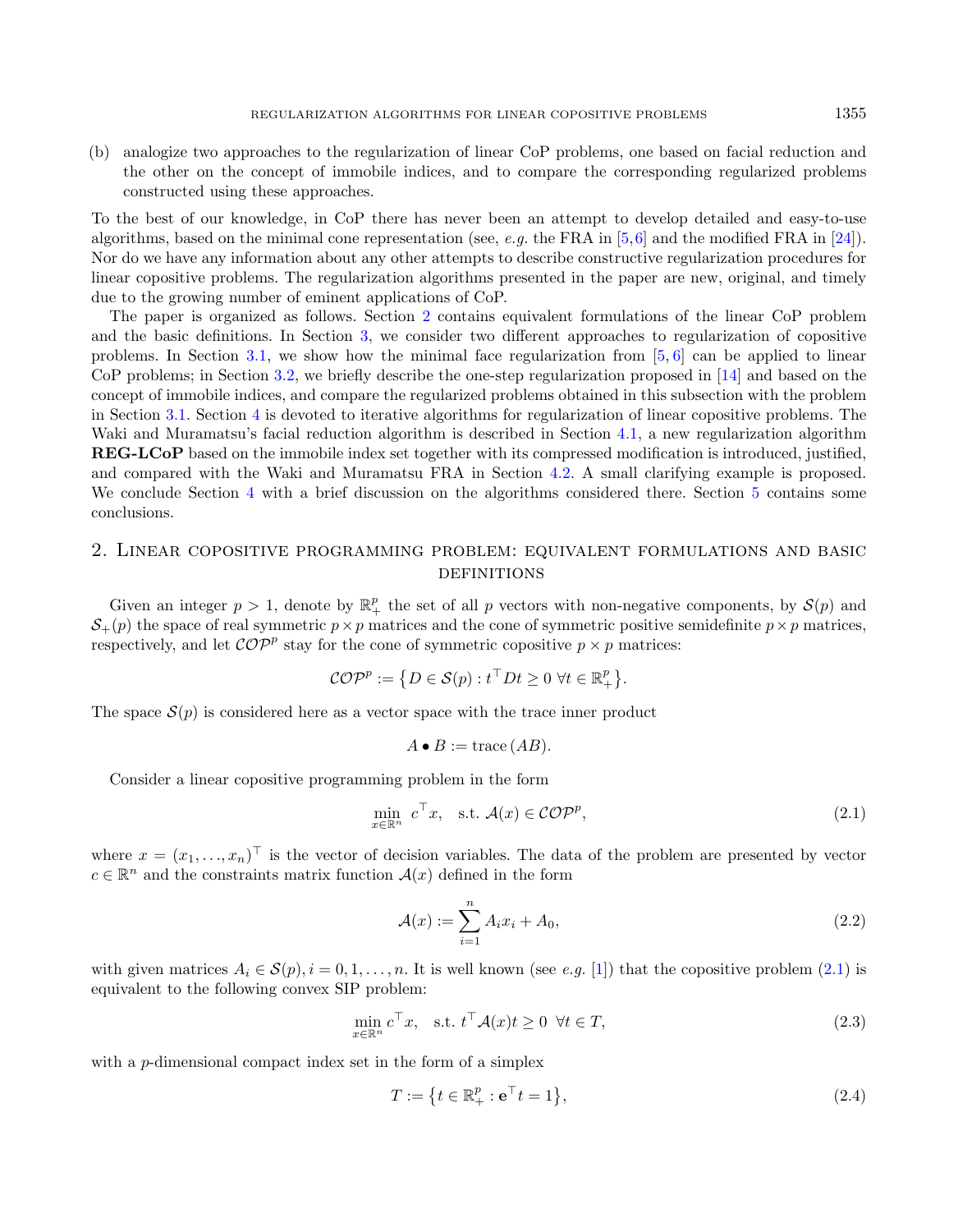(b) analogize two approaches to the regularization of linear CoP problems, one based on facial reduction and the other on the concept of immobile indices, and to compare the corresponding regularized problems constructed using these approaches.

To the best of our knowledge, in CoP there has never been an attempt to develop detailed and easy-to-use algorithms, based on the minimal cone representation (see, e.g. the FRA in [\[5,](#page-18-9)[6\]](#page-18-10) and the modified FRA in [\[24\]](#page-18-12)). Nor do we have any information about any other attempts to describe constructive regularization procedures for linear copositive problems. The regularization algorithms presented in the paper are new, original, and timely due to the growing number of eminent applications of CoP.

The paper is organized as follows. Section [2](#page-2-0) contains equivalent formulations of the linear CoP problem and the basic definitions. In Section [3,](#page-4-0) we consider two different approaches to regularization of copositive problems. In Section [3.1,](#page-4-1) we show how the minimal face regularization from  $[5, 6]$  $[5, 6]$  $[5, 6]$  can be applied to linear CoP problems; in Section [3.2,](#page-5-0) we briefly describe the one-step regularization proposed in [\[14\]](#page-18-17) and based on the concept of immobile indices, and compare the regularized problems obtained in this subsection with the problem in Section [3.1.](#page-4-1) Section [4](#page-7-0) is devoted to iterative algorithms for regularization of linear copositive problems. The Waki and Muramatsu's facial reduction algorithm is described in Section [4.1,](#page-8-0) a new regularization algorithm REG-LCoP based on the immobile index set together with its compressed modification is introduced, justified, and compared with the Waki and Muramatsu FRA in Section [4.2.](#page-8-1) A small clarifying example is proposed. We conclude Section [4](#page-7-0) with a brief discussion on the algorithms considered there. Section [5](#page-17-3) contains some conclusions.

# <span id="page-2-0"></span>2. Linear copositive programming problem: equivalent formulations and basic **DEFINITIONS**

Given an integer  $p > 1$ , denote by  $\mathbb{R}^p_+$  the set of all p vectors with non-negative components, by  $\mathcal{S}(p)$  and  $S_{+}(p)$  the space of real symmetric  $p \times p$  matrices and the cone of symmetric positive semidefinite  $p \times p$  matrices, respectively, and let  $\mathcal{COP}^p$  stay for the cone of symmetric copositive  $p \times p$  matrices:

$$
\mathcal{COP}^p := \{ D \in \mathcal{S}(p) : t^\top D t \geq 0 \ \forall t \in \mathbb{R}_+^p \}.
$$

The space  $S(p)$  is considered here as a vector space with the trace inner product

<span id="page-2-4"></span><span id="page-2-3"></span><span id="page-2-2"></span><span id="page-2-1"></span>
$$
A \bullet B := \text{trace}(AB).
$$

Consider a linear copositive programming problem in the form

$$
\min_{x \in \mathbb{R}^n} c^\top x, \quad \text{s.t. } \mathcal{A}(x) \in \mathcal{COP}^p,\tag{2.1}
$$

where  $x = (x_1, \ldots, x_n)^\top$  is the vector of decision variables. The data of the problem are presented by vector  $c \in \mathbb{R}^n$  and the constraints matrix function  $\mathcal{A}(x)$  defined in the form

$$
\mathcal{A}(x) := \sum_{i=1}^{n} A_i x_i + A_0,\tag{2.2}
$$

with given matrices  $A_i \in \mathcal{S}(p), i = 0, 1, \ldots, n$ . It is well known (see e.g. [\[1\]](#page-17-1)) that the copositive problem [\(2.1\)](#page-2-1) is equivalent to the following convex SIP problem:

$$
\min_{x \in \mathbb{R}^n} c^\top x, \quad \text{s.t. } t^\top \mathcal{A}(x) t \ge 0 \quad \forall t \in T,
$$
\n
$$
(2.3)
$$

with a  $p$ -dimensional compact index set in the form of a simplex

$$
T := \{ t \in \mathbb{R}_+^p : \mathbf{e}^\top t = 1 \},\tag{2.4}
$$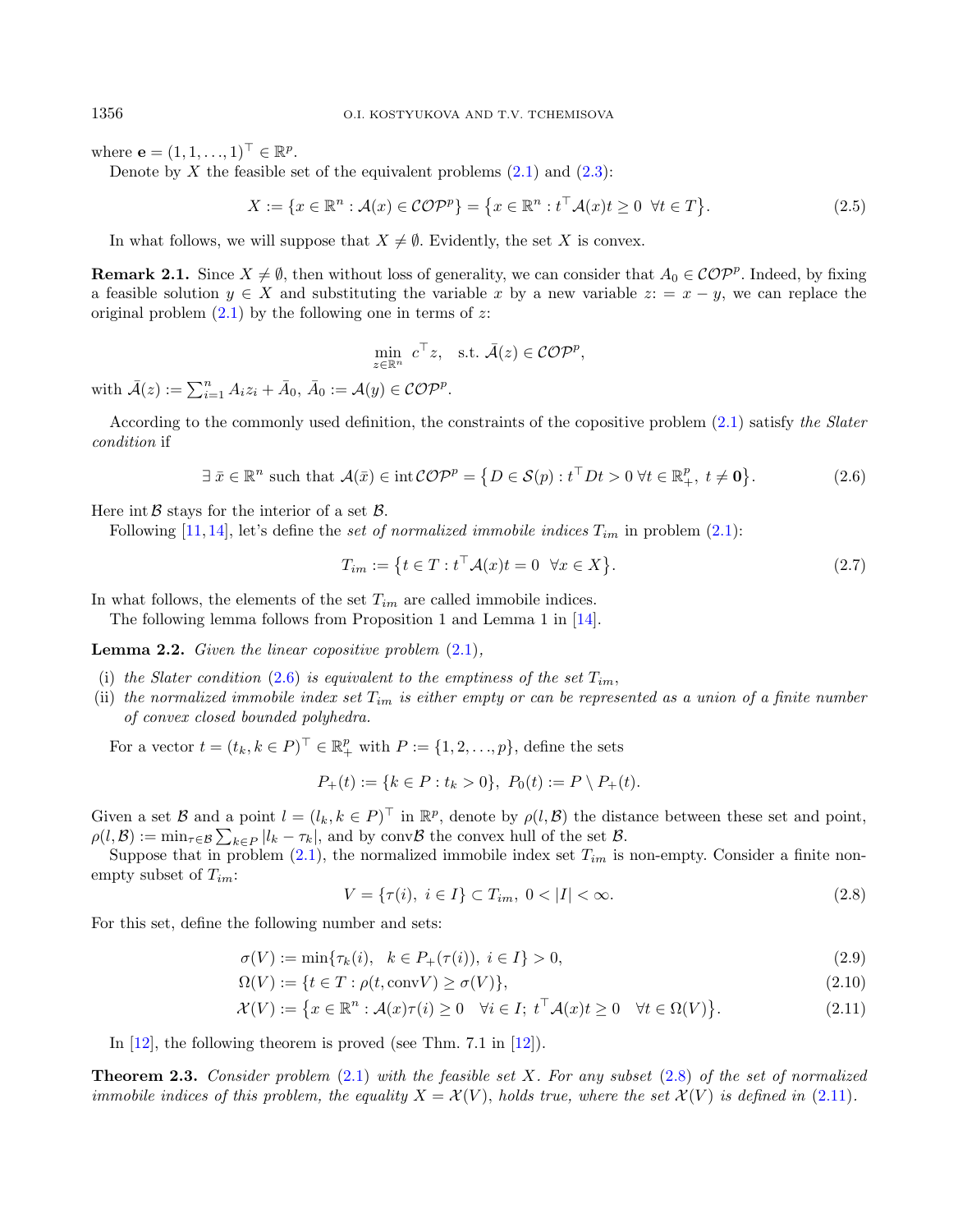where  $\mathbf{e} = (1, 1, \dots, 1)^\top \in \mathbb{R}^p$ .

Denote by X the feasible set of the equivalent problems  $(2.1)$  and  $(2.3)$ :

<span id="page-3-3"></span><span id="page-3-0"></span>
$$
X := \{ x \in \mathbb{R}^n : \mathcal{A}(x) \in \mathcal{COP}^p \} = \{ x \in \mathbb{R}^n : t^\top \mathcal{A}(x) t \ge 0 \ \forall t \in T \}. \tag{2.5}
$$

In what follows, we will suppose that  $X \neq \emptyset$ . Evidently, the set X is convex.

<span id="page-3-8"></span>**Remark 2.1.** Since  $X \neq \emptyset$ , then without loss of generality, we can consider that  $A_0 \in \mathcal{COP}^p$ . Indeed, by fixing a feasible solution  $y \in X$  and substituting the variable x by a new variable  $z: = x - y$ , we can replace the original problem  $(2.1)$  by the following one in terms of z:

<span id="page-3-4"></span>
$$
\min_{z \in \mathbb{R}^n} c^\top z, \quad \text{s.t. } \bar{\mathcal{A}}(z) \in \mathcal{C} \mathcal{O} \mathcal{P}^p,
$$

with  $\bar{A}(z) := \sum_{i=1}^n A_i z_i + \bar{A}_0, \ \bar{A}_0 := \mathcal{A}(y) \in \mathcal{C} \mathcal{O} \mathcal{P}^p$ .

According to the commonly used definition, the constraints of the copositive problem [\(2.1\)](#page-2-1) satisfy the Slater condition if

$$
\exists \ \bar{x} \in \mathbb{R}^n \ \text{such that} \ \mathcal{A}(\bar{x}) \in \text{int } \mathcal{COP}^p = \{ D \in \mathcal{S}(p) : t^\top D t > 0 \ \forall t \in \mathbb{R}_+^p, \ t \neq \mathbf{0} \}. \tag{2.6}
$$

Here int  $\beta$  stays for the interior of a set  $\beta$ .

Following [\[11,](#page-18-15) [14\]](#page-18-17), let's define the set of normalized immobile indices  $T_{im}$  in problem [\(2.1\)](#page-2-1):

<span id="page-3-1"></span>
$$
T_{im} := \left\{ t \in T : t^{\top} \mathcal{A}(x)t = 0 \quad \forall x \in X \right\}.
$$
\n
$$
(2.7)
$$

In what follows, the elements of the set  $T_{im}$  are called immobile indices.

The following lemma follows from Proposition 1 and Lemma 1 in [\[14\]](#page-18-17).

**Lemma 2.2.** Given the linear copositive problem  $(2.1)$ ,

- (i) the Slater condition [\(2.6\)](#page-3-0) is equivalent to the emptiness of the set  $T_{im}$ ,
- (ii) the normalized immobile index set  $T_{im}$  is either empty or can be represented as a union of a finite number of convex closed bounded polyhedra.

For a vector  $t = (t_k, k \in P)^{\top} \in \mathbb{R}_+^p$  with  $P := \{1, 2, ..., p\}$ , define the sets

$$
P_+(t) := \{ k \in P : t_k > 0 \}, \ P_0(t) := P \setminus P_+(t).
$$

Given a set  $\mathcal B$  and a point  $l = (l_k, k \in P)^{\top}$  in  $\mathbb R^p$ , denote by  $\rho(l, \mathcal B)$  the distance between these set and point,  $\rho(l, \mathcal{B}) := \min_{\tau \in \mathcal{B}} \sum_{k \in P} |l_k - \tau_k|$ , and by conv $\mathcal{B}$  the convex hull of the set  $\mathcal{B}$ .

Suppose that in problem  $(2.1)$ , the normalized immobile index set  $T_{im}$  is non-empty. Consider a finite nonempty subset of  $T_{im}$ :

<span id="page-3-7"></span><span id="page-3-6"></span><span id="page-3-2"></span>
$$
V = \{\tau(i), \ i \in I\} \subset T_{im}, \ 0 < |I| < \infty. \tag{2.8}
$$

For this set, define the following number and sets:

$$
\sigma(V) := \min\{\tau_k(i), \ k \in P_+(\tau(i)), \ i \in I\} > 0,\tag{2.9}
$$

$$
\Omega(V) := \{ t \in T : \rho(t, \text{conv} V) \ge \sigma(V) \},\tag{2.10}
$$

$$
\mathcal{X}(V) := \left\{ x \in \mathbb{R}^n : \mathcal{A}(x)\tau(i) \ge 0 \quad \forall i \in I; \ t^\top \mathcal{A}(x)t \ge 0 \quad \forall t \in \Omega(V) \right\}.
$$
 (2.11)

In [\[12\]](#page-18-16), the following theorem is proved (see Thm. 7.1 in [\[12\]](#page-18-16)).

<span id="page-3-5"></span>**Theorem 2.3.** Consider problem  $(2.1)$  with the feasible set X. For any subset  $(2.8)$  of the set of normalized immobile indices of this problem, the equality  $X = \mathcal{X}(V)$ , holds true, where the set  $\mathcal{X}(V)$  is defined in [\(2.11\)](#page-3-2).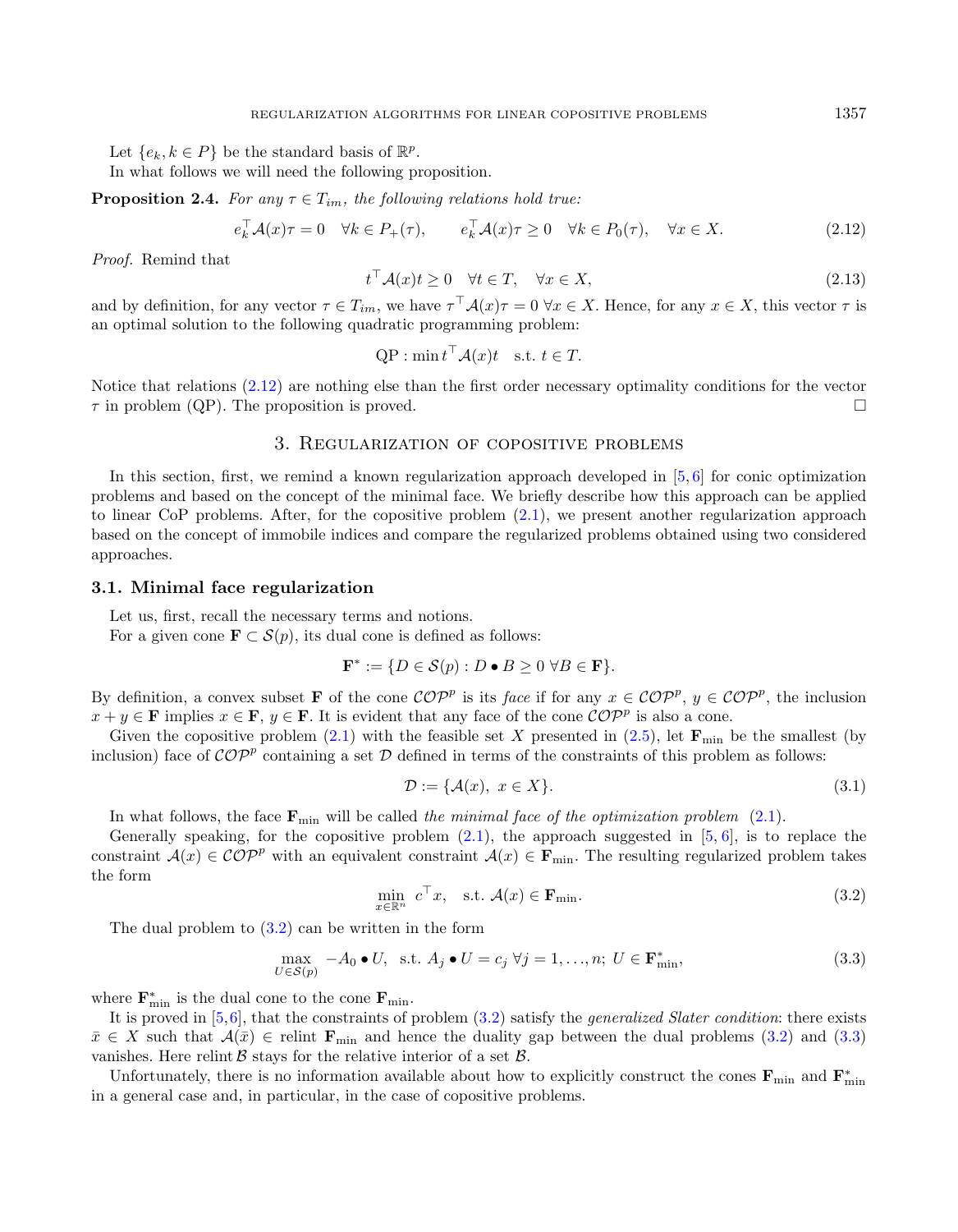<span id="page-4-6"></span>Let  $\{e_k, k \in P\}$  be the standard basis of  $\mathbb{R}^p$ .

In what follows we will need the following proposition.

**Proposition 2.4.** For any  $\tau \in T_{im}$ , the following relations hold true:

$$
e_k^{\top} \mathcal{A}(x)\tau = 0 \quad \forall k \in P_+(\tau), \qquad e_k^{\top} \mathcal{A}(x)\tau \ge 0 \quad \forall k \in P_0(\tau), \quad \forall x \in X. \tag{2.12}
$$

Proof. Remind that

<span id="page-4-5"></span><span id="page-4-2"></span>
$$
t^{\top} \mathcal{A}(x)t \ge 0 \quad \forall t \in T, \quad \forall x \in X,
$$
\n
$$
(2.13)
$$

and by definition, for any vector  $\tau \in T_{im}$ , we have  $\tau^\top A(x) \tau = 0 \ \forall x \in X$ . Hence, for any  $x \in X$ , this vector  $\tau$  is an optimal solution to the following quadratic programming problem:

$$
QP : \min t^\top \mathcal{A}(x)t \text{ s.t. } t \in T.
$$

Notice that relations [\(2.12\)](#page-4-2) are nothing else than the first order necessary optimality conditions for the vector  $\tau$  in problem (QP). The proposition is proved.

# 3. Regularization of copositive problems

<span id="page-4-0"></span>In this section, first, we remind a known regularization approach developed in [\[5,](#page-18-9) [6\]](#page-18-10) for conic optimization problems and based on the concept of the minimal face. We briefly describe how this approach can be applied to linear CoP problems. After, for the copositive problem [\(2.1\)](#page-2-1), we present another regularization approach based on the concept of immobile indices and compare the regularized problems obtained using two considered approaches.

#### <span id="page-4-1"></span>3.1. Minimal face regularization

Let us, first, recall the necessary terms and notions.

<span id="page-4-3"></span>For a given cone  $\mathbf{F} \subset \mathcal{S}(p)$ , its dual cone is defined as follows:

$$
\mathbf{F}^* := \{ D \in \mathcal{S}(p) : D \bullet B \ge 0 \ \forall B \in \mathbf{F} \}.
$$

By definition, a convex subset **F** of the cone  $\mathcal{COP}^p$  is its face if for any  $x \in \mathcal{COP}^p$ ,  $y \in \mathcal{COP}^p$ , the inclusion  $x + y \in \mathbf{F}$  implies  $x \in \mathbf{F}$ ,  $y \in \mathbf{F}$ . It is evident that any face of the cone  $\mathcal{COP}^p$  is also a cone.

Given the copositive problem [\(2.1\)](#page-2-1) with the feasible set X presented in [\(2.5\)](#page-3-3), let  $\mathbf{F}_{\text{min}}$  be the smallest (by inclusion) face of  $\mathcal{COP}^p$  containing a set  $\mathcal D$  defined in terms of the constraints of this problem as follows:

<span id="page-4-4"></span>
$$
\mathcal{D} := \{ \mathcal{A}(x), \ x \in X \}. \tag{3.1}
$$

In what follows, the face  $\mathbf{F}_{\text{min}}$  will be called the minimal face of the optimization problem [\(2.1\)](#page-2-1).

Generally speaking, for the copositive problem  $(2.1)$ , the approach suggested in  $[5, 6]$  $[5, 6]$  $[5, 6]$ , is to replace the constraint  $\mathcal{A}(x) \in \mathcal{COP}^p$  with an equivalent constraint  $\mathcal{A}(x) \in \mathbf{F}_{\text{min}}$ . The resulting regularized problem takes the form

$$
\min_{x \in \mathbb{R}^n} c^\top x, \quad \text{s.t. } \mathcal{A}(x) \in \mathbf{F}_{\text{min}}.\tag{3.2}
$$

The dual problem to [\(3.2\)](#page-4-3) can be written in the form

$$
\max_{U \in \mathcal{S}(p)} -A_0 \bullet U, \text{ s.t. } A_j \bullet U = c_j \ \forall j = 1, ..., n; \ U \in \mathbf{F}_{\min}^*,
$$
\n(3.3)

where  $\mathbf{F}_{\text{min}}^{*}$  is the dual cone to the cone  $\mathbf{F}_{\text{min}}.$ 

It is proved in  $[5,6]$  $[5,6]$ , that the constraints of problem  $(3.2)$  satisfy the *generalized Slater condition*: there exists  $\bar{x} \in X$  such that  $\mathcal{A}(\bar{x}) \in \text{relint } \mathbf{F}_{\text{min}}$  and hence the duality gap between the dual problems [\(3.2\)](#page-4-3) and [\(3.3\)](#page-4-4) vanishes. Here relint  $\beta$  stays for the relative interior of a set  $\beta$ .

Unfortunately, there is no information available about how to explicitly construct the cones  $F_{\min}$  and  $F_{\min}^*$ in a general case and, in particular, in the case of copositive problems.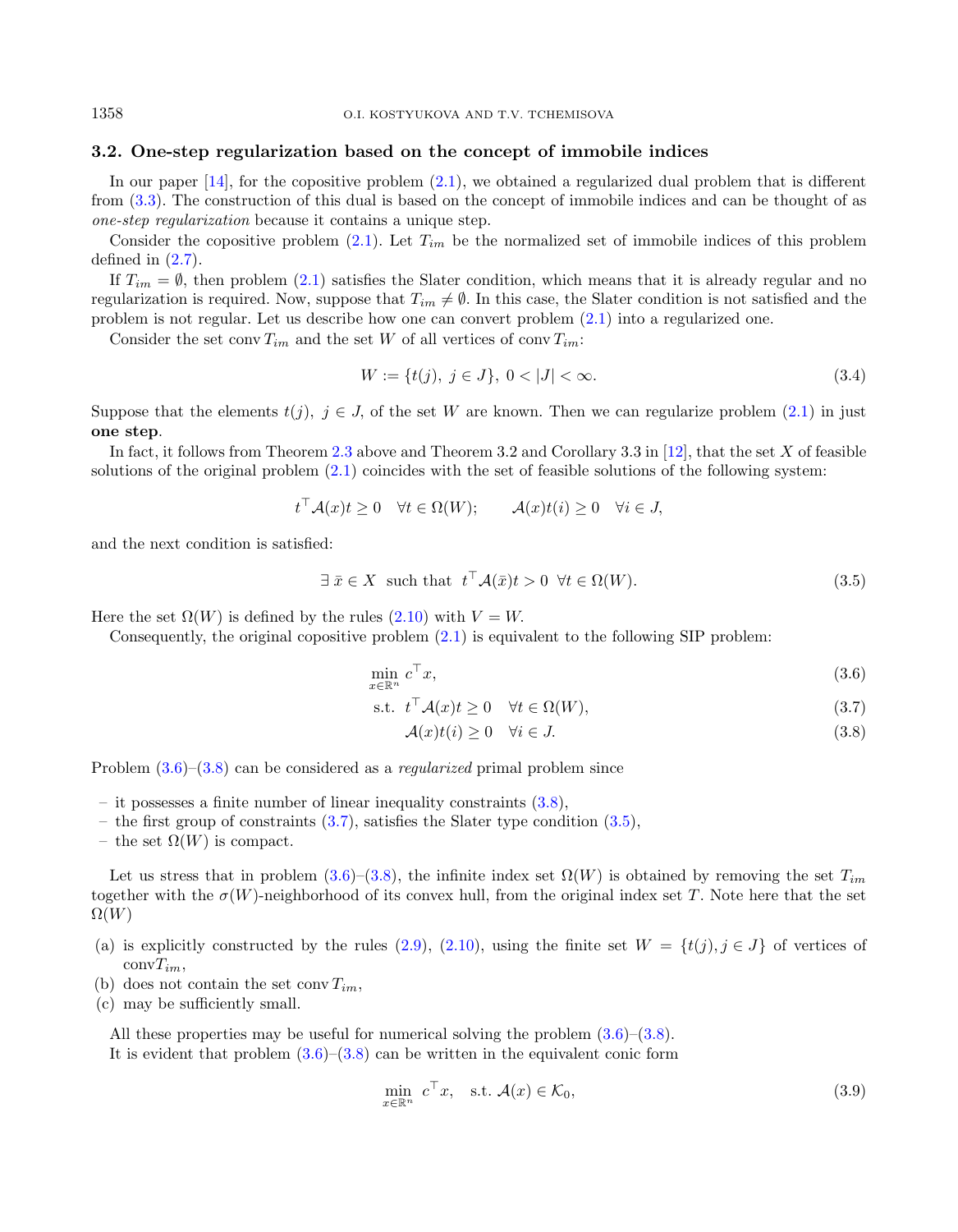## <span id="page-5-0"></span>3.2. One-step regularization based on the concept of immobile indices

In our paper [\[14\]](#page-18-17), for the copositive problem [\(2.1\)](#page-2-1), we obtained a regularized dual problem that is different from [\(3.3\)](#page-4-4). The construction of this dual is based on the concept of immobile indices and can be thought of as one-step regularization because it contains a unique step.

Consider the copositive problem  $(2.1)$ . Let  $T_{im}$  be the normalized set of immobile indices of this problem defined in  $(2.7)$ .

If  $T_{im} = \emptyset$ , then problem [\(2.1\)](#page-2-1) satisfies the Slater condition, which means that it is already regular and no regularization is required. Now, suppose that  $T_{im} \neq \emptyset$ . In this case, the Slater condition is not satisfied and the problem is not regular. Let us describe how one can convert problem [\(2.1\)](#page-2-1) into a regularized one.

Consider the set conv  $T_{im}$  and the set W of all vertices of conv  $T_{im}$ :

<span id="page-5-6"></span><span id="page-5-4"></span><span id="page-5-3"></span><span id="page-5-1"></span>
$$
W := \{t(j), \ j \in J\}, \ 0 < |J| < \infty. \tag{3.4}
$$

Suppose that the elements  $t(j)$ ,  $j \in J$ , of the set W are known. Then we can regularize problem [\(2.1\)](#page-2-1) in just one step.

In fact, it follows from Theorem [2.3](#page-3-5) above and Theorem 3.2 and Corollary 3.3 in [\[12\]](#page-18-16), that the set  $X$  of feasible solutions of the original problem [\(2.1\)](#page-2-1) coincides with the set of feasible solutions of the following system:

$$
t^{\top} A(x)t \ge 0 \quad \forall t \in \Omega(W); \qquad A(x)t(i) \ge 0 \quad \forall i \in J,
$$

and the next condition is satisfied:

$$
\exists \ \bar{x} \in X \ \text{ such that } t^\top \mathcal{A}(\bar{x})t > 0 \ \forall t \in \Omega(W). \tag{3.5}
$$

Here the set  $\Omega(W)$  is defined by the rules  $(2.10)$  with  $V = W$ .

Consequently, the original copositive problem [\(2.1\)](#page-2-1) is equivalent to the following SIP problem:

$$
\min_{x \in \mathbb{R}^n} c^\top x,\tag{3.6}
$$

$$
\text{s.t. } t^\top \mathcal{A}(x)t \ge 0 \quad \forall t \in \Omega(W), \tag{3.7}
$$

<span id="page-5-5"></span><span id="page-5-2"></span>
$$
\mathcal{A}(x)t(i) \ge 0 \quad \forall i \in J. \tag{3.8}
$$

Problem  $(3.6)$ – $(3.8)$  can be considered as a *regularized* primal problem since

- it possesses a finite number of linear inequality constraints  $(3.8)$ ,
- the first group of constraints  $(3.7)$ , satisfies the Slater type condition  $(3.5)$ ,
- the set  $\Omega(W)$  is compact.

Let us stress that in problem [\(3.6\)](#page-5-1)–[\(3.8\)](#page-5-2), the infinite index set  $\Omega(W)$  is obtained by removing the set  $T_{im}$ together with the  $\sigma(W)$ -neighborhood of its convex hull, from the original index set T. Note here that the set  $\Omega(W)$ 

- (a) is explicitly constructed by the rules [\(2.9\)](#page-3-7), [\(2.10\)](#page-3-6), using the finite set  $W = \{t(j), j \in J\}$  of vertices of  $\mathrm{conv}T_{im},$
- (b) does not contain the set conv $T_{im}$ .
- (c) may be sufficiently small.

All these properties may be useful for numerical solving the problem  $(3.6)$ – $(3.8)$ .

It is evident that problem  $(3.6)$ – $(3.8)$  can be written in the equivalent conic form

$$
\min_{x \in \mathbb{R}^n} c^\top x, \quad \text{s.t. } \mathcal{A}(x) \in \mathcal{K}_0,\tag{3.9}
$$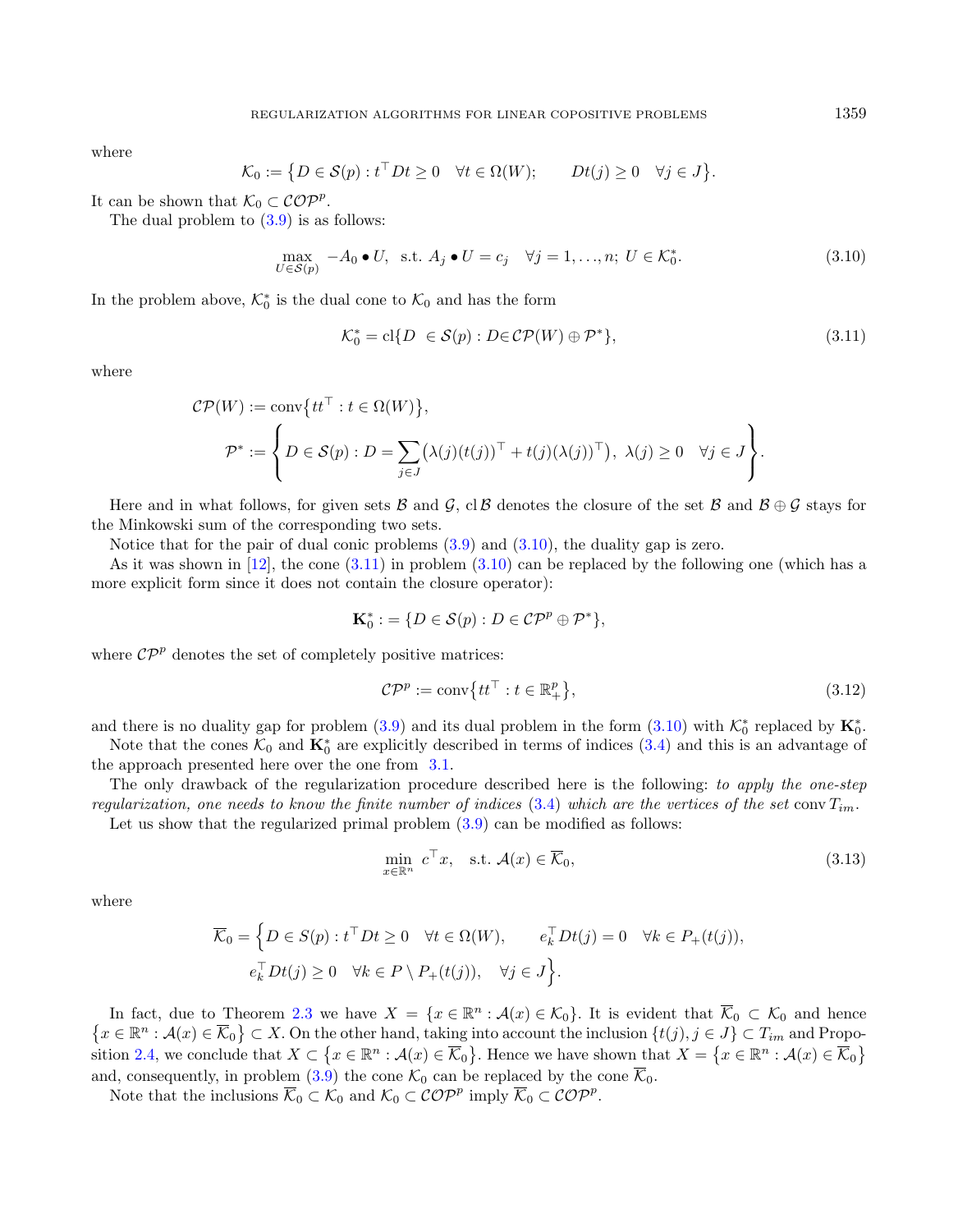where

<span id="page-6-0"></span>
$$
\mathcal{K}_0 := \left\{ D \in \mathcal{S}(p) : t^\top D t \ge 0 \quad \forall t \in \Omega(W); \qquad Dt(j) \ge 0 \quad \forall j \in J \right\}.
$$

It can be shown that  $\mathcal{K}_0 \subset \mathcal{COP}^p$ .

The dual problem to  $(3.9)$  is as follows:

$$
\max_{U \in \mathcal{S}(p)} -A_0 \bullet U, \text{ s.t. } A_j \bullet U = c_j \quad \forall j = 1, ..., n; U \in \mathcal{K}_0^*.
$$
\n(3.10)

In the problem above,  $\mathcal{K}_0^*$  is the dual cone to  $\mathcal{K}_0$  and has the form

<span id="page-6-3"></span>
$$
\mathcal{K}_0^* = \text{cl}\{D \in \mathcal{S}(p) : D \in \mathcal{CP}(W) \oplus \mathcal{P}^*\},\tag{3.11}
$$

where

$$
CP(W) := \text{conv}\lbrace t t^{\top} : t \in \Omega(W)\rbrace,
$$
  

$$
\mathcal{P}^* := \left\lbrace D \in \mathcal{S}(p) : D = \sum_{j \in J} (\lambda(j)(t(j))^{\top} + t(j)(\lambda(j))^{\top}), \lambda(j) \ge 0 \quad \forall j \in J \right\rbrace.
$$

Here and in what follows, for given sets  $\mathcal B$  and  $\mathcal G$ , cl  $\mathcal B$  denotes the closure of the set  $\mathcal B$  and  $\mathcal B \oplus \mathcal G$  stays for the Minkowski sum of the corresponding two sets.

Notice that for the pair of dual conic problems  $(3.9)$  and  $(3.10)$ , the duality gap is zero.

As it was shown in  $[12]$ , the cone  $(3.11)$  in problem  $(3.10)$  can be replaced by the following one (which has a more explicit form since it does not contain the closure operator):

$$
\mathbf{K}_0^* := \{ D \in \mathcal{S}(p) : D \in \mathcal{C} \mathcal{P}^p \oplus \mathcal{P}^* \},
$$

where  $\mathcal{CP}^p$  denotes the set of completely positive matrices:

<span id="page-6-2"></span>
$$
\mathcal{CP}^p := \text{conv}\{tt^\top : t \in \mathbb{R}_+^p\},\tag{3.12}
$$

and there is no duality gap for problem  $(3.9)$  and its dual problem in the form  $(3.10)$  with  $\mathcal{K}_0^*$  replaced by  $\mathbf{K}_0^*$ .

Note that the cones  $\mathcal{K}_0$  and  $\mathbf{K}_0^*$  are explicitly described in terms of indices  $(3.4)$  and this is an advantage of the approach presented here over the one from [3.1.](#page-4-1)

The only drawback of the regularization procedure described here is the following: to apply the one-step regularization, one needs to know the finite number of indices [\(3.4\)](#page-5-6) which are the vertices of the set conv  $T_{im}$ .

Let us show that the regularized primal problem  $(3.9)$  can be modified as follows:

$$
\min_{x \in \mathbb{R}^n} c^\top x, \quad \text{s.t. } \mathcal{A}(x) \in \overline{\mathcal{K}}_0,\tag{3.13}
$$

where

$$
\overline{\mathcal{K}}_0 = \left\{ D \in S(p) : t^\top D t \ge 0 \quad \forall t \in \Omega(W), \qquad e_k^\top D t(j) = 0 \quad \forall k \in P_+(t(j)), \right\}
$$
  

$$
e_k^\top D t(j) \ge 0 \quad \forall k \in P \setminus P_+(t(j)), \quad \forall j \in J \right\}.
$$

In fact, due to Theorem [2.3](#page-3-5) we have  $X = \{x \in \mathbb{R}^n : \mathcal{A}(x) \in \mathcal{K}_0\}$ . It is evident that  $\overline{\mathcal{K}}_0 \subset \mathcal{K}_0$  and hence  $\{x \in \mathbb{R}^n : A(x) \in \overline{\mathcal{K}}_0\} \subset X$ . On the other hand, taking into account the inclusion  $\{t(j), j \in J\} \subset T_{im}$  and Propo-sition [2.4,](#page-4-5) we conclude that  $X \subset \{x \in \mathbb{R}^n : \mathcal{A}(x) \in \overline{\mathcal{K}}_0\}$ . Hence we have shown that  $X = \{x \in \mathbb{R}^n : \mathcal{A}(x) \in \overline{\mathcal{K}}_0\}$ and, consequently, in problem [\(3.9\)](#page-5-5) the cone  $\mathcal{K}_0$  can be replaced by the cone  $\overline{\mathcal{K}}_0$ .

Note that the inclusions  $\overline{\mathcal{K}}_0 \subset \mathcal{K}_0$  and  $\mathcal{K}_0 \subset \mathcal{COP}^p$  imply  $\overline{\mathcal{K}}_0 \subset \mathcal{COP}^p$ .

<span id="page-6-1"></span>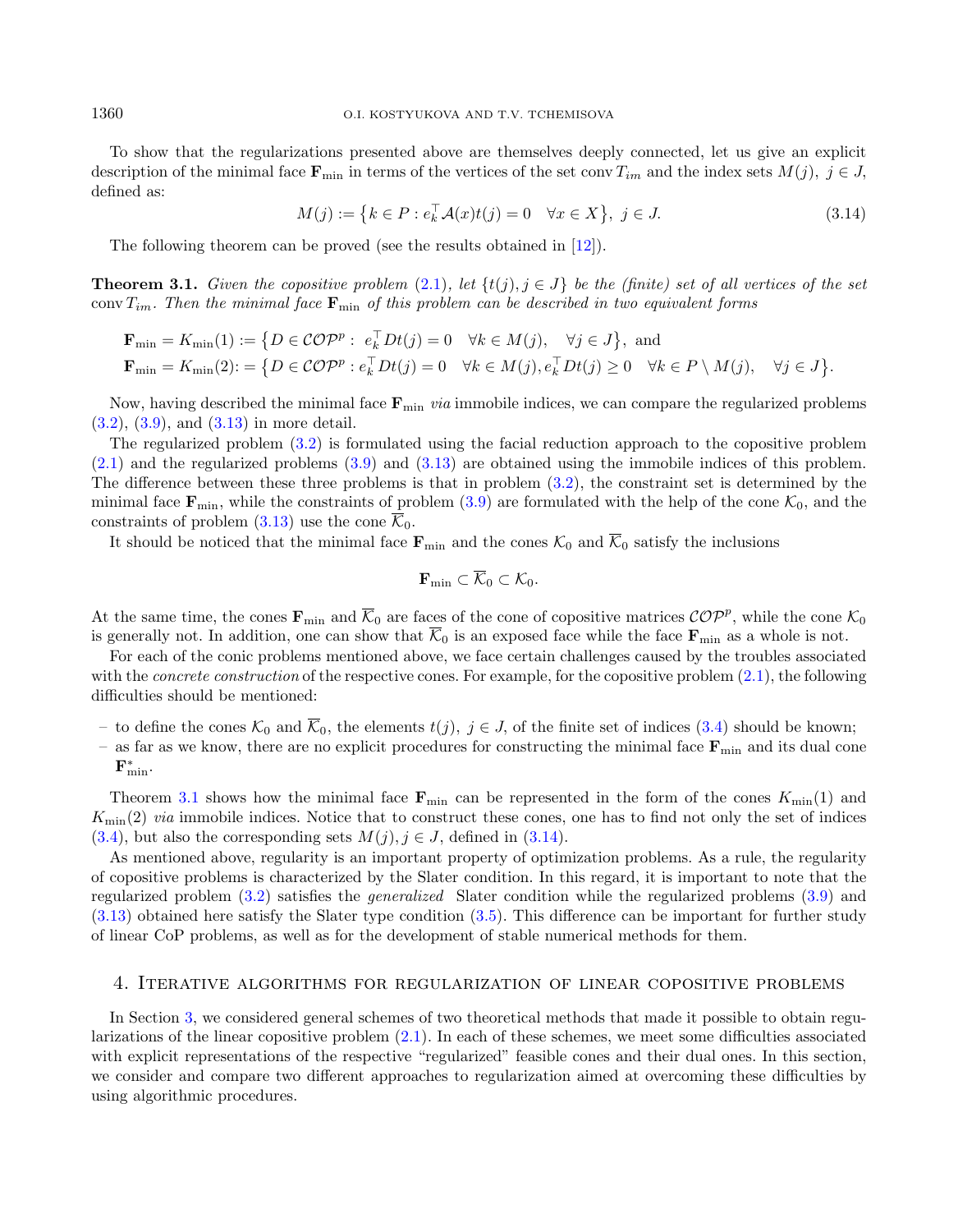To show that the regularizations presented above are themselves deeply connected, let us give an explicit description of the minimal face  $\mathbf{F}_{\min}$  in terms of the vertices of the set conv  $T_{im}$  and the index sets  $M(j), j \in J$ , defined as:

$$
M(j) := \{ k \in P : e_k^{\top} \mathcal{A}(x)t(j) = 0 \quad \forall x \in X \}, \ j \in J. \tag{3.14}
$$

The following theorem can be proved (see the results obtained in [\[12\]](#page-18-16)).

<span id="page-7-1"></span>**Theorem 3.1.** Given the copositive problem [\(2.1\)](#page-2-1), let  $\{t(j), j \in J\}$  be the (finite) set of all vertices of the set conv  $T_{im}$ . Then the minimal face  $\mathbf{F}_{min}$  of this problem can be described in two equivalent forms

$$
\mathbf{F}_{\min} = K_{\min}(1) := \{ D \in \mathcal{COP}^p : e_k^{\top} Dt(j) = 0 \quad \forall k \in M(j), \quad \forall j \in J \}, \text{ and}
$$
  
\n
$$
\mathbf{F}_{\min} = K_{\min}(2) := \{ D \in \mathcal{COP}^p : e_k^{\top} Dt(j) = 0 \quad \forall k \in M(j), e_k^{\top} Dt(j) \ge 0 \quad \forall k \in P \setminus M(j), \quad \forall j \in J \}.
$$

Now, having described the minimal face  $\mathbf{F}_{\text{min}}$  *via* immobile indices, we can compare the regularized problems [\(3.2\)](#page-4-3), [\(3.9\)](#page-5-5), and [\(3.13\)](#page-6-2) in more detail.

The regularized problem [\(3.2\)](#page-4-3) is formulated using the facial reduction approach to the copositive problem  $(2.1)$  and the regularized problems  $(3.9)$  and  $(3.13)$  are obtained using the immobile indices of this problem. The difference between these three problems is that in problem [\(3.2\)](#page-4-3), the constraint set is determined by the minimal face  $\mathbf{F}_{\text{min}}$ , while the constraints of problem [\(3.9\)](#page-5-5) are formulated with the help of the cone  $\mathcal{K}_0$ , and the constraints of problem  $(3.13)$  use the cone  $\overline{\mathcal{K}}_0$ .

It should be noticed that the minimal face  $\mathbf{F}_{\text{min}}$  and the cones  $\mathcal{K}_0$  and  $\overline{\mathcal{K}}_0$  satisfy the inclusions

$$
\mathbf{F}_{\min} \subset \overline{\mathcal{K}}_0 \subset \mathcal{K}_0.
$$

At the same time, the cones  $\mathbf{F}_{\text{min}}$  and  $\overline{\mathcal{K}}_0$  are faces of the cone of copositive matrices  $\mathcal{COP}^p$ , while the cone  $\mathcal{K}_0$ is generally not. In addition, one can show that  $\overline{\mathcal{K}}_0$  is an exposed face while the face  $\mathbf{F}_{\min}$  as a whole is not.

For each of the conic problems mentioned above, we face certain challenges caused by the troubles associated with the *concrete construction* of the respective cones. For example, for the copositive problem  $(2.1)$ , the following difficulties should be mentioned:

- to define the cones  $\mathcal{K}_0$  and  $\overline{\mathcal{K}}_0$ , the elements  $t(j), j \in J$ , of the finite set of indices [\(3.4\)](#page-5-6) should be known;
- as far as we know, there are no explicit procedures for constructing the minimal face  $\mathbf{F}_{\text{min}}$  and its dual cone  $\mathbf{F}_{\text{min}}^*$ .

Theorem [3.1](#page-7-1) shows how the minimal face  $\mathbf{F}_{\min}$  can be represented in the form of the cones  $K_{\min}(1)$  and  $K_{\text{min}}(2)$  via immobile indices. Notice that to construct these cones, one has to find not only the set of indices  $(3.4)$ , but also the corresponding sets  $M(j), j \in J$ , defined in  $(3.14)$ .

As mentioned above, regularity is an important property of optimization problems. As a rule, the regularity of copositive problems is characterized by the Slater condition. In this regard, it is important to note that the regularized problem [\(3.2\)](#page-4-3) satisfies the generalized Slater condition while the regularized problems [\(3.9\)](#page-5-5) and [\(3.13\)](#page-6-2) obtained here satisfy the Slater type condition [\(3.5\)](#page-5-4). This difference can be important for further study of linear CoP problems, as well as for the development of stable numerical methods for them.

#### <span id="page-7-0"></span>4. Iterative algorithms for regularization of linear copositive problems

In Section [3,](#page-4-0) we considered general schemes of two theoretical methods that made it possible to obtain regularizations of the linear copositive problem [\(2.1\)](#page-2-1). In each of these schemes, we meet some difficulties associated with explicit representations of the respective "regularized" feasible cones and their dual ones. In this section, we consider and compare two different approaches to regularization aimed at overcoming these difficulties by using algorithmic procedures.

<span id="page-7-2"></span>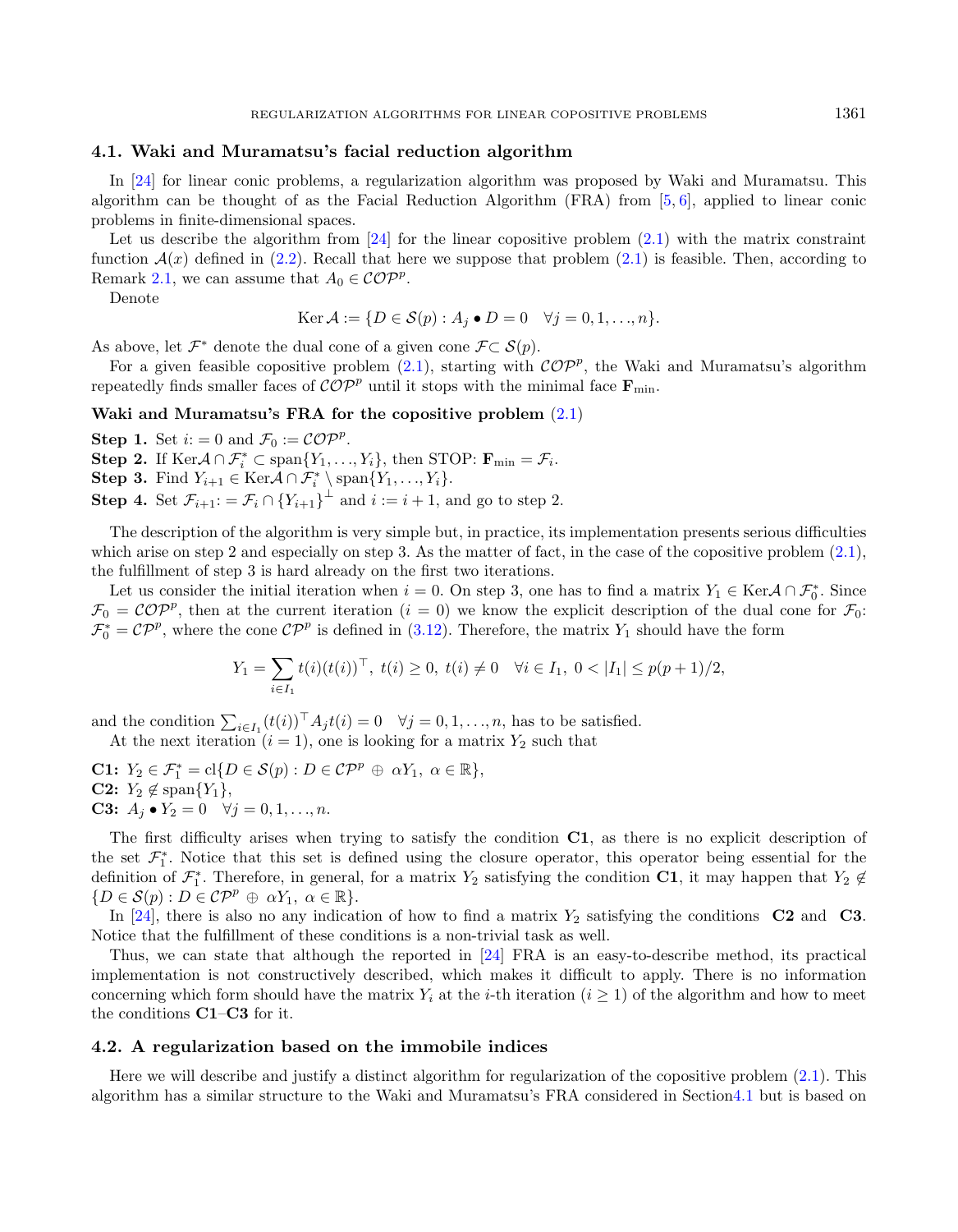## <span id="page-8-0"></span>4.1. Waki and Muramatsu's facial reduction algorithm

In [\[24\]](#page-18-12) for linear conic problems, a regularization algorithm was proposed by Waki and Muramatsu. This algorithm can be thought of as the Facial Reduction Algorithm (FRA) from [\[5,](#page-18-9) [6\]](#page-18-10), applied to linear conic problems in finite-dimensional spaces.

Let us describe the algorithm from  $[24]$  for the linear copositive problem  $(2.1)$  with the matrix constraint function  $\mathcal{A}(x)$  defined in [\(2.2\)](#page-2-3). Recall that here we suppose that problem [\(2.1\)](#page-2-1) is feasible. Then, according to Remark [2.1,](#page-3-8) we can assume that  $A_0 \in \mathcal{COP}^p$ .

Denote

$$
\operatorname{Ker} \mathcal{A} := \{ D \in \mathcal{S}(p) : A_j \bullet D = 0 \quad \forall j = 0, 1, ..., n \}.
$$

As above, let  $\mathcal{F}^*$  denote the dual cone of a given cone  $\mathcal{F} \subset \mathcal{S}(p)$ .

For a given feasible copositive problem  $(2.1)$ , starting with  $\mathcal{COP}^p$ , the Waki and Muramatsu's algorithm repeatedly finds smaller faces of  $\mathcal{COP}^p$  until it stops with the minimal face  $\mathbf{F}_{\text{min}}$ .

# Waki and Muramatsu's FRA for the copositive problem [\(2.1\)](#page-2-1)

**Step 1.** Set  $i: = 0$  and  $\mathcal{F}_0 := \mathcal{COP}^p$ . **Step 2.** If  $\text{Ker}\mathcal{A} \cap \mathcal{F}_i^* \subset \text{span}\{Y_1, \ldots, Y_i\}$ , then STOP:  $\mathbf{F}_{\min} = \mathcal{F}_i$ . **Step 3.** Find  $Y_{i+1} \in \text{Ker} \mathcal{A} \cap \mathcal{F}_i^* \setminus \text{span}\{Y_1, \ldots, Y_i\}.$ **Step 4.** Set  $\mathcal{F}_{i+1}$ : =  $\mathcal{F}_i \cap \{Y_{i+1}\}^{\perp}$  and  $i := i + 1$ , and go to step 2.

The description of the algorithm is very simple but, in practice, its implementation presents serious difficulties which arise on step 2 and especially on step 3. As the matter of fact, in the case of the copositive problem  $(2.1)$ , the fulfillment of step 3 is hard already on the first two iterations.

Let us consider the initial iteration when  $i = 0$ . On step 3, one has to find a matrix  $Y_1 \in \text{Ker} \mathcal{A} \cap \mathcal{F}_0^*$ . Since  $\mathcal{F}_0 = \mathcal{C} \mathcal{O} \mathcal{P}^p$ , then at the current iteration  $(i = 0)$  we know the explicit description of the dual cone for  $\mathcal{F}_0$ :  $\mathcal{F}_0^* = \mathcal{C} \mathcal{P}^p$ , where the cone  $\mathcal{C} \mathcal{P}^p$  is defined in [\(3.12\)](#page-6-3). Therefore, the matrix  $Y_1$  should have the form

$$
Y_1 = \sum_{i \in I_1} t(i)(t(i))^{\top}, \ t(i) \ge 0, \ t(i) \ne 0 \quad \forall i \in I_1, \ 0 < |I_1| \le p(p+1)/2,
$$

and the condition  $\sum_{i \in I_1} (t(i))^{\top} A_i t(i) = 0 \quad \forall j = 0, 1, ..., n$ , has to be satisfied. At the next iteration  $(i = 1)$ , one is looking for a matrix  $Y_2$  such that

**C1:**  $Y_2 \in \mathcal{F}_1^* = \text{cl}\{D \in \mathcal{S}(p) : D \in \mathcal{C}P^p \oplus \alpha Y_1, \alpha \in \mathbb{R}\},\$ C2:  $Y_2 \notin \text{span}\{Y_1\},\$ **C3:**  $A_j \bullet Y_2 = 0 \quad \forall j = 0, 1, ..., n.$ 

The first difficulty arises when trying to satisfy the condition C1, as there is no explicit description of the set  $\mathcal{F}_{1}^{*}$ . Notice that this set is defined using the closure operator, this operator being essential for the definition of  $\mathcal{F}_1^*$ . Therefore, in general, for a matrix  $Y_2$  satisfying the condition C1, it may happen that  $Y_2 \notin$  ${D \in \mathcal{S}(p) : D \in \mathcal{CP}^p \oplus \alpha Y_1, \ \alpha \in \mathbb{R}}.$ 

In [\[24\]](#page-18-12), there is also no any indication of how to find a matrix  $Y_2$  satisfying the conditions C2 and C3. Notice that the fulfillment of these conditions is a non-trivial task as well.

Thus, we can state that although the reported in [\[24\]](#page-18-12) FRA is an easy-to-describe method, its practical implementation is not constructively described, which makes it difficult to apply. There is no information concerning which form should have the matrix  $Y_i$  at the *i*-th iteration ( $i \geq 1$ ) of the algorithm and how to meet the conditions C1–C3 for it.

#### <span id="page-8-1"></span>4.2. A regularization based on the immobile indices

Here we will describe and justify a distinct algorithm for regularization of the copositive problem [\(2.1\)](#page-2-1). This algorithm has a similar structure to the Waki and Muramatsu's FRA considered in Sectio[n4.1](#page-8-0) but is based on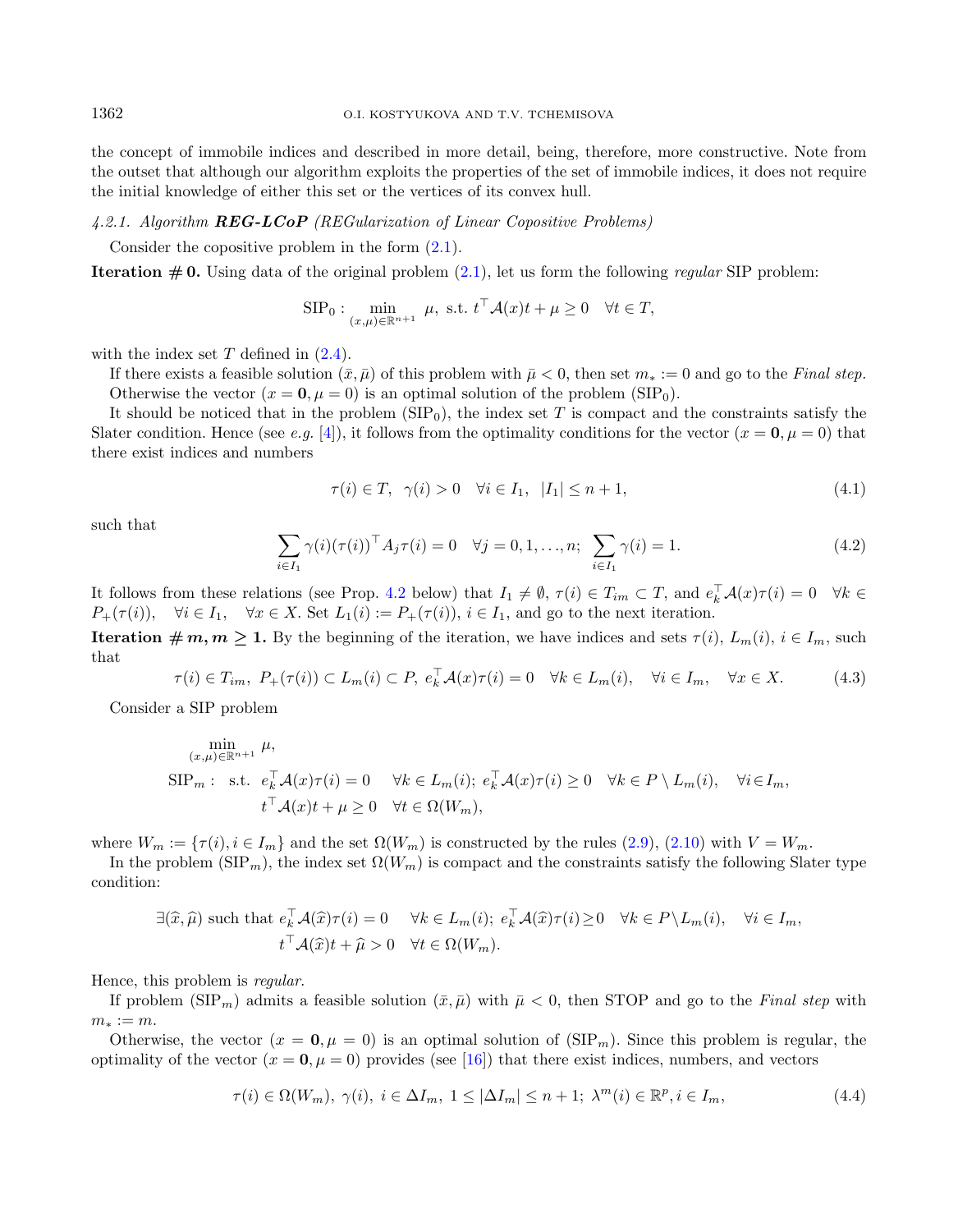the concept of immobile indices and described in more detail, being, therefore, more constructive. Note from the outset that although our algorithm exploits the properties of the set of immobile indices, it does not require the initial knowledge of either this set or the vertices of its convex hull.

#### <span id="page-9-4"></span>4.2.1. Algorithm REG-LCoP (REGularization of Linear Copositive Problems)

Consider the copositive problem in the form [\(2.1\)](#page-2-1).

<span id="page-9-3"></span>**Iteration**  $\#$  **0.** Using data of the original problem [\(2.1\)](#page-2-1), let us form the following regular SIP problem:

<span id="page-9-2"></span>
$$
\text{SIP}_0: \min_{(x,\mu)\in\mathbb{R}^{n+1}} \mu, \text{ s.t. } t^\top \mathcal{A}(x)t + \mu \ge 0 \quad \forall t \in T,
$$

with the index set  $T$  defined in  $(2.4)$ .

If there exists a feasible solution  $(\bar{x}, \bar{\mu})$  of this problem with  $\bar{\mu} < 0$ , then set  $m_* := 0$  and go to the Final step. Otherwise the vector  $(x = 0, \mu = 0)$  is an optimal solution of the problem  $(SIP<sub>0</sub>)$ .

<span id="page-9-0"></span>It should be noticed that in the problem  $(SIP_0)$ , the index set T is compact and the constraints satisfy the Slater condition. Hence (see e.g. [\[4\]](#page-18-18)), it follows from the optimality conditions for the vector  $(x = 0, \mu = 0)$  that there exist indices and numbers

<span id="page-9-1"></span>
$$
\tau(i) \in T, \quad \gamma(i) > 0 \quad \forall i \in I_1, \quad |I_1| \leq n+1,\tag{4.1}
$$

such that

$$
\sum_{i \in I_1} \gamma(i) (\tau(i))^{\top} A_j \tau(i) = 0 \quad \forall j = 0, 1, ..., n; \sum_{i \in I_1} \gamma(i) = 1.
$$
 (4.2)

It follows from these relations (see Prop. [4.2](#page-11-0) below) that  $I_1 \neq \emptyset$ ,  $\tau(i) \in T_{im} \subset T$ , and  $e_k^{\top} \mathcal{A}(x) \tau(i) = 0 \quad \forall k \in$  $P_+(\tau(i)), \quad \forall i \in I_1, \quad \forall x \in X.$  Set  $L_1(i) := P_+(\tau(i)), i \in I_1$ , and go to the next iteration.

**Iteration**  $\# m, m \geq 1$ . By the beginning of the iteration, we have indices and sets  $\tau(i)$ ,  $L_m(i)$ ,  $i \in I_m$ , such that

$$
\tau(i) \in T_{im}, \ P_{+}(\tau(i)) \subset L_{m}(i) \subset P, \ e_{k}^{\top} \mathcal{A}(x)\tau(i) = 0 \quad \forall k \in L_{m}(i), \quad \forall i \in I_{m}, \quad \forall x \in X. \tag{4.3}
$$

Consider a SIP problem

$$
\min_{(x,\mu)\in\mathbb{R}^{n+1}} \mu,
$$
  
\n
$$
\text{SIP}_m: \text{ s.t. } e_k^\top \mathcal{A}(x)\tau(i) = 0 \quad \forall k \in L_m(i); e_k^\top \mathcal{A}(x)\tau(i) \ge 0 \quad \forall k \in P \setminus L_m(i), \quad \forall i \in I_m,
$$
  
\n
$$
t^\top \mathcal{A}(x)t + \mu \ge 0 \quad \forall t \in \Omega(W_m),
$$

where  $W_m := \{ \tau(i), i \in I_m \}$  and the set  $\Omega(W_m)$  is constructed by the rules [\(2.9\)](#page-3-7), [\(2.10\)](#page-3-6) with  $V = W_m$ .

In the problem ( $SIP_m$ ), the index set  $\Omega(W_m)$  is compact and the constraints satisfy the following Slater type condition:

$$
\exists (\widehat{x}, \widehat{\mu}) \text{ such that } e_k^{\top} \mathcal{A}(\widehat{x}) \tau(i) = 0 \quad \forall k \in L_m(i); \ e_k^{\top} \mathcal{A}(\widehat{x}) \tau(i) \ge 0 \quad \forall k \in P \setminus L_m(i), \quad \forall i \in I_m,
$$

$$
t^{\top} \mathcal{A}(\widehat{x}) t + \widehat{\mu} > 0 \quad \forall t \in \Omega(W_m).
$$

Hence, this problem is regular.

If problem  $(SIP_m)$  admits a feasible solution  $(\bar{x}, \bar{\mu})$  with  $\bar{\mu} < 0$ , then STOP and go to the Final step with  $m_* := m$ .

Otherwise, the vector  $(x = 0, \mu = 0)$  is an optimal solution of  $(SIP_m)$ . Since this problem is regular, the optimality of the vector  $(x = 0, \mu = 0)$  provides (see [\[16\]](#page-18-19)) that there exist indices, numbers, and vectors

$$
\tau(i) \in \Omega(W_m), \ \gamma(i), \ i \in \Delta I_m, \ 1 \le |\Delta I_m| \le n+1; \ \lambda^m(i) \in \mathbb{R}^p, i \in I_m,
$$
\n
$$
(4.4)
$$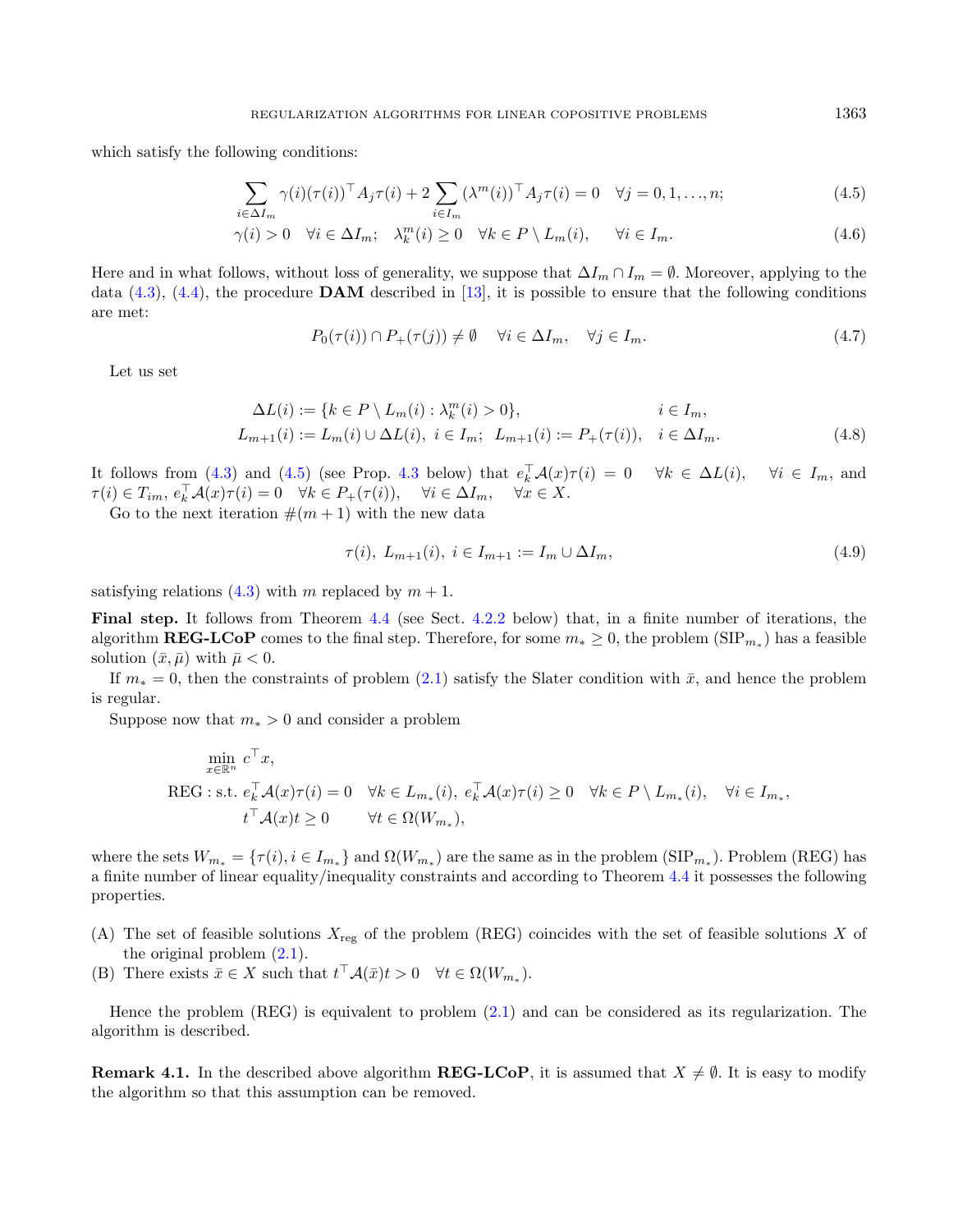<span id="page-10-3"></span>which satisfy the following conditions:

$$
\sum_{i \in \Delta I_m} \gamma(i) (\tau(i))^{\top} A_j \tau(i) + 2 \sum_{i \in I_m} (\lambda^m(i))^{\top} A_j \tau(i) = 0 \quad \forall j = 0, 1, \dots, n; \tag{4.5}
$$

$$
\gamma(i) > 0 \quad \forall i \in \Delta I_m; \quad \lambda_k^m(i) \ge 0 \quad \forall k \in P \setminus L_m(i), \qquad \forall i \in I_m. \tag{4.6}
$$

Here and in what follows, without loss of generality, we suppose that  $\Delta I_m \cap I_m = \emptyset$ . Moreover, applying to the data  $(4.3)$ ,  $(4.4)$ , the procedure **DAM** described in [\[13\]](#page-18-20), it is possible to ensure that the following conditions are met:

$$
P_0(\tau(i)) \cap P_+(\tau(j)) \neq \emptyset \quad \forall i \in \Delta I_m, \quad \forall j \in I_m. \tag{4.7}
$$

Let us set

$$
\Delta L(i) := \{ k \in P \setminus L_m(i) : \lambda_k^m(i) > 0 \}, \qquad i \in I_m, L_{m+1}(i) := L_m(i) \cup \Delta L(i), \ i \in I_m; \ L_{m+1}(i) := P_+(\tau(i)), \quad i \in \Delta I_m.
$$
\n(4.8)

It follows from [\(4.3\)](#page-9-0) and [\(4.5\)](#page-10-0) (see Prop. [4.3](#page-11-1) below) that  $e_k^{\top} \mathcal{A}(x) \tau(i) = 0 \quad \forall k \in \Delta L(i)$ ,  $\forall i \in I_m$ , and  $\tau(i) \in T_{im}, e_k^{\top} \mathcal{A}(x) \tau(i) = 0 \quad \forall k \in P_+(\tau(i)), \quad \forall i \in \Delta I_m, \quad \forall x \in X.$ 

Go to the next iteration  $\#(m+1)$  with the new data

$$
\tau(i), L_{m+1}(i), i \in I_{m+1} := I_m \cup \Delta I_m,\tag{4.9}
$$

satisfying relations [\(4.3\)](#page-9-0) with m replaced by  $m + 1$ .

Final step. It follows from Theorem [4.4](#page-12-0) (see Sect. [4.2.2](#page-11-2) below) that, in a finite number of iterations, the algorithm **REG-LCoP** comes to the final step. Therefore, for some  $m_* \geq 0$ , the problem (SIP<sub> $m_*$ </sub>) has a feasible solution  $(\bar{x}, \bar{\mu})$  with  $\bar{\mu} < 0$ .

If  $m_* = 0$ , then the constraints of problem [\(2.1\)](#page-2-1) satisfy the Slater condition with  $\bar{x}$ , and hence the problem is regular.

Suppose now that  $m_* > 0$  and consider a problem

$$
\min_{x \in \mathbb{R}^n} c^\top x,
$$
  
REG : s.t.  $e_k^\top \mathcal{A}(x)\tau(i) = 0 \quad \forall k \in L_{m_*}(i), e_k^\top \mathcal{A}(x)\tau(i) \ge 0 \quad \forall k \in P \setminus L_{m_*}(i), \quad \forall i \in I_{m_*},$   
 $t^\top \mathcal{A}(x)t \ge 0 \qquad \forall t \in \Omega(W_{m_*}),$ 

where the sets  $W_{m_*} = \{\tau(i), i \in I_{m_*}\}\$  and  $\Omega(W_{m_*})$  are the same as in the problem  $(SIP_{m_*})$ . Problem (REG) has a finite number of linear equality/inequality constraints and according to Theorem [4.4](#page-12-0) it possesses the following properties.

- (A) The set of feasible solutions  $X_{reg}$  of the problem (REG) coincides with the set of feasible solutions X of the original problem [\(2.1\)](#page-2-1).
- (B) There exists  $\bar{x} \in X$  such that  $t^{\top} \mathcal{A}(\bar{x}) t > 0 \quad \forall t \in \Omega(W_{m_*}).$

Hence the problem (REG) is equivalent to problem [\(2.1\)](#page-2-1) and can be considered as its regularization. The algorithm is described.

**Remark 4.1.** In the described above algorithm **REG-LCoP**, it is assumed that  $X \neq \emptyset$ . It is easy to modify the algorithm so that this assumption can be removed.

<span id="page-10-2"></span><span id="page-10-1"></span><span id="page-10-0"></span>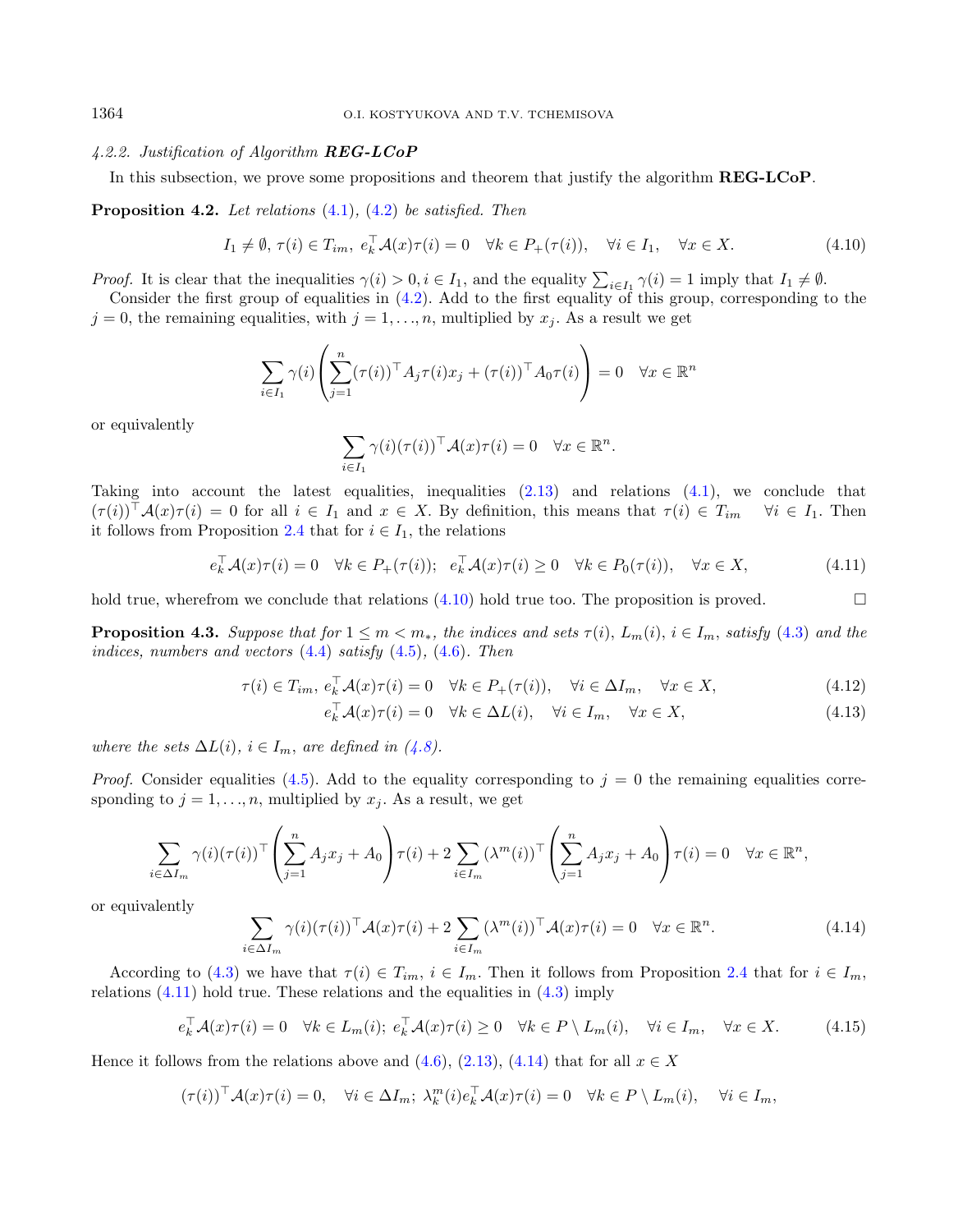## <span id="page-11-2"></span>4.2.2. Justification of Algorithm REG-LCoP

In this subsection, we prove some propositions and theorem that justify the algorithm **REG-LCoP**.

<span id="page-11-0"></span>**Proposition 4.2.** Let relations  $(4.1)$ ,  $(4.2)$  be satisfied. Then

<span id="page-11-3"></span>
$$
I_1 \neq \emptyset, \tau(i) \in T_{im}, e_k^{\top} \mathcal{A}(x)\tau(i) = 0 \quad \forall k \in P_+(\tau(i)), \quad \forall i \in I_1, \quad \forall x \in X.
$$
 (4.10)

*Proof.* It is clear that the inequalities  $\gamma(i) > 0, i \in I_1$ , and the equality  $\sum_{i \in I_1} \gamma(i) = 1$  imply that  $I_1 \neq \emptyset$ .

Consider the first group of equalities in [\(4.2\)](#page-9-3). Add to the first equality of this group, corresponding to the  $j = 0$ , the remaining equalities, with  $j = 1, \ldots, n$ , multiplied by  $x_j$ . As a result we get

$$
\sum_{i \in I_1} \gamma(i) \left( \sum_{j=1}^n (\tau(i))^{\top} A_j \tau(i) x_j + (\tau(i))^{\top} A_0 \tau(i) \right) = 0 \quad \forall x \in \mathbb{R}^n
$$

or equivalently

<span id="page-11-7"></span><span id="page-11-6"></span><span id="page-11-4"></span>
$$
\sum_{i \in I_1} \gamma(i) (\tau(i))^{\top} \mathcal{A}(x) \tau(i) = 0 \quad \forall x \in \mathbb{R}^n.
$$

Taking into account the latest equalities, inequalities [\(2.13\)](#page-4-6) and relations [\(4.1\)](#page-9-2), we conclude that  $(\tau(i))^{\top} \mathcal{A}(x) \tau(i) = 0$  for all  $i \in I_1$  and  $x \in X$ . By definition, this means that  $\tau(i) \in T_{im}$   $\forall i \in I_1$ . Then it follows from Proposition [2.4](#page-4-5) that for  $i \in I_1$ , the relations

$$
e_k^{\top} \mathcal{A}(x)\tau(i) = 0 \quad \forall k \in P_+(\tau(i)); \quad e_k^{\top} \mathcal{A}(x)\tau(i) \ge 0 \quad \forall k \in P_0(\tau(i)), \quad \forall x \in X,
$$
\n
$$
(4.11)
$$

hold true, wherefrom we conclude that relations  $(4.10)$  hold true too. The proposition is proved.

<span id="page-11-1"></span>**Proposition 4.3.** Suppose that for  $1 \leq m < m_*$ , the indices and sets  $\tau(i)$ ,  $L_m(i)$ ,  $i \in I_m$ , satisfy [\(4.3\)](#page-9-0) and the indices, numbers and vectors  $(4.4)$  satisfy  $(4.5)$ ,  $(4.6)$ . Then

<span id="page-11-5"></span>
$$
\tau(i) \in T_{im}, e_k^{\top} \mathcal{A}(x)\tau(i) = 0 \quad \forall k \in P_+(\tau(i)), \quad \forall i \in \Delta I_m, \quad \forall x \in X,
$$
\n
$$
(4.12)
$$

<span id="page-11-8"></span>
$$
e_k^{\top} \mathcal{A}(x)\tau(i) = 0 \quad \forall k \in \Delta L(i), \quad \forall i \in I_m, \quad \forall x \in X,
$$
\n
$$
(4.13)
$$

where the sets  $\Delta L(i)$ ,  $i \in I_m$ , are defined in [\(4.8\)](#page-10-2).

*Proof.* Consider equalities [\(4.5\)](#page-10-0). Add to the equality corresponding to  $j = 0$  the remaining equalities corresponding to  $j = 1, \ldots, n$ , multiplied by  $x_j$ . As a result, we get

$$
\sum_{i \in \Delta I_m} \gamma(i) (\tau(i))^\top \left( \sum_{j=1}^n A_j x_j + A_0 \right) \tau(i) + 2 \sum_{i \in I_m} (\lambda^m(i))^\top \left( \sum_{j=1}^n A_j x_j + A_0 \right) \tau(i) = 0 \quad \forall x \in \mathbb{R}^n,
$$

or equivalently

$$
\sum_{i \in \Delta I_m} \gamma(i) (\tau(i))^{\top} \mathcal{A}(x) \tau(i) + 2 \sum_{i \in I_m} (\lambda^m(i))^{\top} \mathcal{A}(x) \tau(i) = 0 \quad \forall x \in \mathbb{R}^n.
$$
 (4.14)

According to [\(4.3\)](#page-9-0) we have that  $\tau(i) \in T_{im}$ ,  $i \in I_m$ . Then it follows from Proposition [2.4](#page-4-5) that for  $i \in I_m$ , relations  $(4.11)$  hold true. These relations and the equalities in  $(4.3)$  imply

$$
e_k^{\top} \mathcal{A}(x)\tau(i) = 0 \quad \forall k \in L_m(i); \ e_k^{\top} \mathcal{A}(x)\tau(i) \ge 0 \quad \forall k \in P \setminus L_m(i), \quad \forall i \in I_m, \quad \forall x \in X. \tag{4.15}
$$

Hence it follows from the relations above and  $(4.6)$ ,  $(2.13)$ ,  $(4.14)$  that for all  $x \in X$ 

$$
(\tau(i))^{\top} \mathcal{A}(x)\tau(i) = 0, \quad \forall i \in \Delta I_m; \ \lambda_k^m(i) e_k^{\top} \mathcal{A}(x)\tau(i) = 0 \quad \forall k \in P \setminus L_m(i), \quad \forall i \in I_m,
$$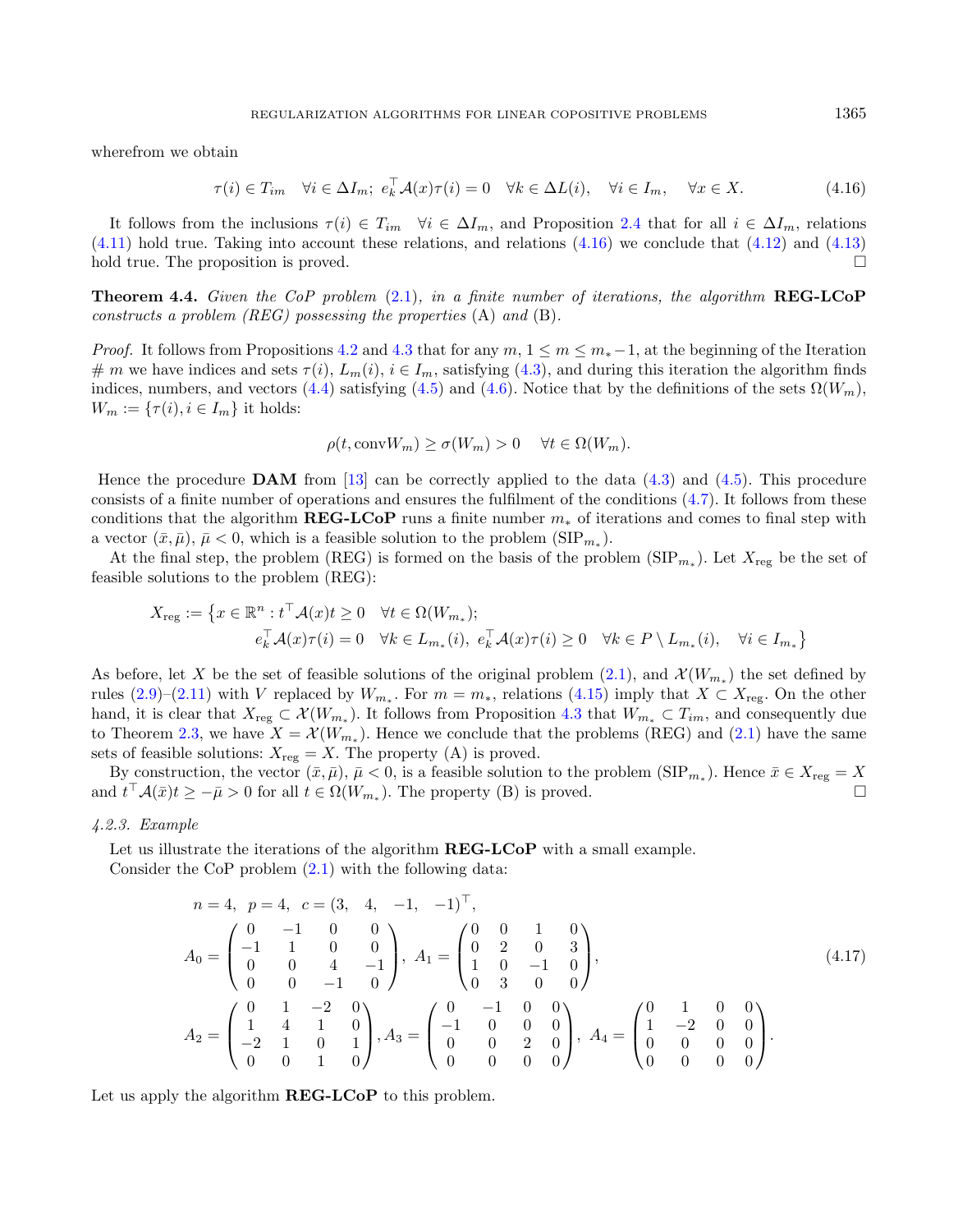wherefrom we obtain

<span id="page-12-1"></span>
$$
\tau(i) \in T_{im} \quad \forall i \in \Delta I_m; \ e_k^{\top} \mathcal{A}(x) \tau(i) = 0 \quad \forall k \in \Delta L(i), \quad \forall i \in I_m, \quad \forall x \in X. \tag{4.16}
$$

It follows from the inclusions  $\tau(i) \in T_{im}$   $\forall i \in \Delta I_m$ , and Proposition [2.4](#page-4-5) that for all  $i \in \Delta I_m$ , relations [\(4.11\)](#page-11-4) hold true. Taking into account these relations, and relations [\(4.16\)](#page-12-1) we conclude that [\(4.12\)](#page-11-6) and [\(4.13\)](#page-11-7) hold true. The proposition is proved.  $\Box$ 

<span id="page-12-0"></span>**Theorem 4.4.** Given the CoP problem  $(2.1)$ , in a finite number of iterations, the algorithm **REG-LCoP** constructs a problem  $(REG)$  possessing the properties  $(A)$  and  $(B)$ .

*Proof.* It follows from Propositions [4.2](#page-11-0) and [4.3](#page-11-1) that for any  $m, 1 \le m \le m_*-1$ , at the beginning of the Iteration # m we have indices and sets  $\tau(i)$ ,  $L_m(i)$ ,  $i \in I_m$ , satisfying [\(4.3\)](#page-9-0), and during this iteration the algorithm finds indices, numbers, and vectors [\(4.4\)](#page-9-1) satisfying [\(4.5\)](#page-10-0) and [\(4.6\)](#page-10-1). Notice that by the definitions of the sets  $\Omega(W_m)$ ,  $W_m := \{\tau(i), i \in I_m\}$  it holds:

<span id="page-12-2"></span>
$$
\rho(t, \text{conv} W_m) \ge \sigma(W_m) > 0 \quad \forall t \in \Omega(W_m).
$$

Hence the procedure **DAM** from [\[13\]](#page-18-20) can be correctly applied to the data  $(4.3)$  and  $(4.5)$ . This procedure consists of a finite number of operations and ensures the fulfilment of the conditions  $(4.7)$ . It follows from these conditions that the algorithm  $\mathbf{REG-LOoP}$  runs a finite number  $m_*$  of iterations and comes to final step with a vector  $(\bar{x}, \bar{\mu}), \bar{\mu} < 0$ , which is a feasible solution to the problem  $(SIP_{m_*})$ .

At the final step, the problem (REG) is formed on the basis of the problem  $(SIP_{m_*})$ . Let  $X_{reg}$  be the set of feasible solutions to the problem (REG):

$$
X_{\text{reg}} := \left\{ x \in \mathbb{R}^n : t^\top \mathcal{A}(x)t \ge 0 \quad \forall t \in \Omega(W_{m_*});
$$
  

$$
e_k^\top \mathcal{A}(x)\tau(i) = 0 \quad \forall k \in L_{m_*}(i), \ e_k^\top \mathcal{A}(x)\tau(i) \ge 0 \quad \forall k \in P \setminus L_{m_*}(i), \quad \forall i \in I_{m_*} \right\}
$$

As before, let X be the set of feasible solutions of the original problem  $(2.1)$ , and  $\mathcal{X}(W_{m_*})$  the set defined by rules  $(2.9)$ – $(2.11)$  with V replaced by  $W_{m_*}$ . For  $m = m_*$ , relations  $(4.15)$  imply that  $X \subset X_{reg}$ . On the other hand, it is clear that  $X_{\text{reg}} \subset \mathcal{X}(W_{m_*})$ . It follows from Proposition [4.3](#page-11-1) that  $W_{m_*} \subset T_{im}$ , and consequently due to Theorem [2.3,](#page-3-5) we have  $X = \mathcal{X}(W_{m_*})$ . Hence we conclude that the problems (REG) and [\(2.1\)](#page-2-1) have the same sets of feasible solutions:  $X_{reg} = X$ . The property (A) is proved.

By construction, the vector  $(\bar{x}, \bar{\mu}), \bar{\mu} < 0$ , is a feasible solution to the problem  $(SIP_{m_*})$ . Hence  $\bar{x} \in X_{reg} = X$ and  $t^{\top}A(\bar{x})t \geq -\bar{\mu} > 0$  for all  $t \in \Omega(W_{m_*})$ . The property (B) is proved.

4.2.3. Example

Let us illustrate the iterations of the algorithm **REG-LCoP** with a small example. Consider the CoP problem [\(2.1\)](#page-2-1) with the following data:

$$
n = 4, \ p = 4, \ c = (3, 4, -1, -1)^{\top},
$$
  
\n
$$
A_0 = \begin{pmatrix} 0 & -1 & 0 & 0 \\ -1 & 1 & 0 & 0 \\ 0 & 0 & 4 & -1 \\ 0 & 0 & -1 & 0 \end{pmatrix}, \ A_1 = \begin{pmatrix} 0 & 0 & 1 & 0 \\ 0 & 2 & 0 & 3 \\ 1 & 0 & -1 & 0 \\ 0 & 3 & 0 & 0 \end{pmatrix},
$$
  
\n
$$
A_2 = \begin{pmatrix} 0 & 1 & -2 & 0 \\ 1 & 4 & 1 & 0 \\ -2 & 1 & 0 & 1 \\ 0 & 0 & 1 & 0 \end{pmatrix}, A_3 = \begin{pmatrix} 0 & -1 & 0 & 0 \\ -1 & 0 & 0 & 0 \\ 0 & 0 & 2 & 0 \\ 0 & 0 & 0 & 0 \end{pmatrix}, \ A_4 = \begin{pmatrix} 0 & 1 & 0 & 0 \\ 1 & -2 & 0 & 0 \\ 0 & 0 & 0 & 0 \\ 0 & 0 & 0 & 0 \end{pmatrix}.
$$
  
\n(4.17)

Let us apply the algorithm **REG-LCoP** to this problem.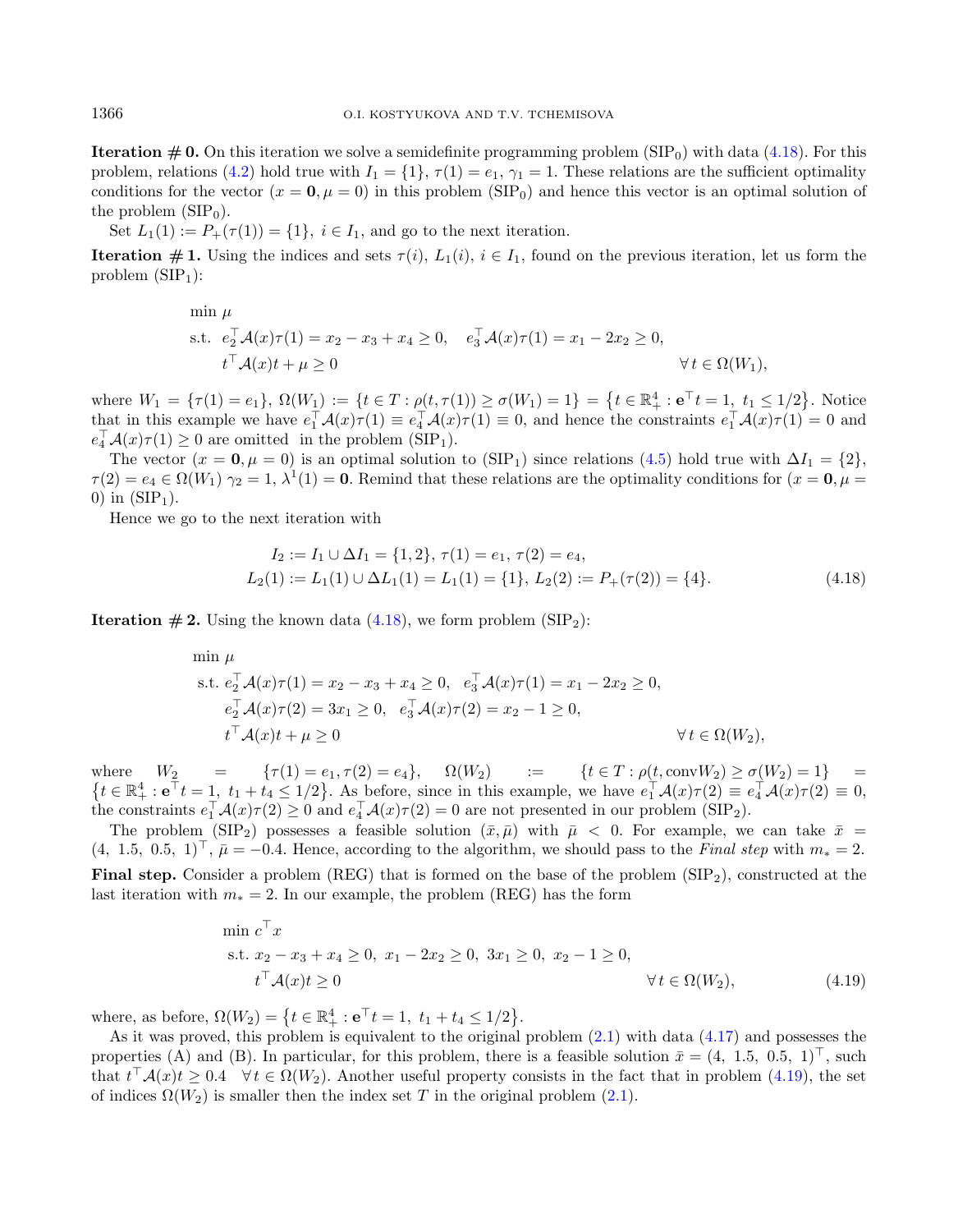**Iteration**  $\#$  **0.** On this iteration we solve a semidefinite programming problem (SIP<sub>0</sub>) with data [\(4.18\)](#page-13-0). For this problem, relations [\(4.2\)](#page-9-3) hold true with  $I_1 = \{1\}$ ,  $\tau(1) = e_1$ ,  $\gamma_1 = 1$ . These relations are the sufficient optimality conditions for the vector  $(x = 0, \mu = 0)$  in this problem (SIP<sub>0</sub>) and hence this vector is an optimal solution of the problem  $(SIP<sub>0</sub>)$ .

Set  $L_1(1) := P_+(\tau(1)) = \{1\}, i \in I_1$ , and go to the next iteration.

**Iteration # 1.** Using the indices and sets  $\tau(i)$ ,  $L_1(i)$ ,  $i \in I_1$ , found on the previous iteration, let us form the problem  $(SIP_1)$ :

$$
\begin{aligned}\n\min \mu & \text{ s.t. } e_2^\top \mathcal{A}(x)\tau(1) = x_2 - x_3 + x_4 \ge 0, \quad e_3^\top \mathcal{A}(x)\tau(1) = x_1 - 2x_2 \ge 0, \\
& t^\top \mathcal{A}(x)t + \mu \ge 0 \qquad \qquad \forall t \in \Omega(W_1),\n\end{aligned}
$$

where  $W_1 = \{\tau(1) = e_1\}, \ \Omega(W_1) := \{t \in T : \rho(t, \tau(1)) \ge \sigma(W_1) = 1\} = \{t \in \mathbb{R}_+^4 : e^{\top}t = 1, t_1 \le 1/2\}$ . Notice that in this example we have  $e_1^{\top} \mathcal{A}(x) \tau(1) \equiv e_4^{\top} \mathcal{A}(x) \tau(1) \equiv 0$ , and hence the constraints  $e_1^{\top} \mathcal{A}(x) \tau(1) = 0$  and  $e_4^{\top} \mathcal{A}(x) \tau(1) \geq 0$  are omitted in the problem (SIP<sub>1</sub>).

The vector  $(x = 0, \mu = 0)$  is an optimal solution to  $(SIP_1)$  since relations  $(4.5)$  hold true with  $\Delta I_1 = \{2\}$ ,  $\tau(2) = e_4 \in \Omega(W_1)$   $\gamma_2 = 1$ ,  $\lambda^1(1) = 0$ . Remind that these relations are the optimality conditions for  $(x = 0, \mu = 1)$ 0) in  $(SIP<sub>1</sub>)$ .

Hence we go to the next iteration with

<span id="page-13-1"></span><span id="page-13-0"></span>
$$
I_2 := I_1 \cup \Delta I_1 = \{1, 2\}, \tau(1) = e_1, \tau(2) = e_4,
$$
  
\n
$$
L_2(1) := L_1(1) \cup \Delta L_1(1) = L_1(1) = \{1\}, L_2(2) := P_+(\tau(2)) = \{4\}.
$$
\n(4.18)

**Iteration #2.** Using the known data  $(4.18)$ , we form problem  $(SIP<sub>2</sub>)$ :

$$
\min \mu
$$
\n
$$
\text{s.t. } e_2^\top \mathcal{A}(x)\tau(1) = x_2 - x_3 + x_4 \ge 0, \quad e_3^\top \mathcal{A}(x)\tau(1) = x_1 - 2x_2 \ge 0,
$$
\n
$$
e_2^\top \mathcal{A}(x)\tau(2) = 3x_1 \ge 0, \quad e_3^\top \mathcal{A}(x)\tau(2) = x_2 - 1 \ge 0,
$$
\n
$$
t^\top \mathcal{A}(x)t + \mu \ge 0 \qquad \forall t \in \Omega(W_2),
$$

where  $W_2 = {\tau(1) = e_1, \tau(2) = e_4}, \quad \Omega(W_2) = {\tau(1) = e_1, \tau(2) = e_4}$  =  $\{t \in \mathbb{R}_+^4 : \mathbf{e}^\top t = 1, t_1 + t_4 \leq 1/2\}$ . As before, since in this example, we have  $e_1^\top \mathcal{A}(x)\tau(2) \equiv e_4^\top \mathcal{A}(x)\tau(2) \equiv 0$ , the constraints  $e_1^{\top} \mathcal{A}(x) \tau(2) \ge 0$  and  $e_4^{\top} \mathcal{A}(x) \tau(2) = 0$  are not presented in our problem (SIP<sub>2</sub>).

The problem (SIP<sub>2</sub>) possesses a feasible solution  $(\bar{x}, \bar{\mu})$  with  $\bar{\mu} < 0$ . For example, we can take  $\bar{x} =$  $(4, 1.5, 0.5, 1)^\perp$ ,  $\bar{\mu} = -0.4$ . Hence, according to the algorithm, we should pass to the Final step with  $m_* = 2$ . **Final step.** Consider a problem (REG) that is formed on the base of the problem  $(SIP_2)$ , constructed at the last iteration with  $m_* = 2$ . In our example, the problem (REG) has the form

$$
\min c^{\top} x
$$
  
s.t.  $x_2 - x_3 + x_4 \ge 0$ ,  $x_1 - 2x_2 \ge 0$ ,  $3x_1 \ge 0$ ,  $x_2 - 1 \ge 0$ ,  
 $t^{\top} A(x)t \ge 0$   $\forall t \in \Omega(W_2)$ , (4.19)

where, as before,  $\Omega(W_2) = \{ t \in \mathbb{R}_+^4 : e^{\top}t = 1, t_1 + t_4 \leq 1/2 \}.$ 

As it was proved, this problem is equivalent to the original problem [\(2.1\)](#page-2-1) with data [\(4.17\)](#page-12-2) and possesses the properties (A) and (B). In particular, for this problem, there is a feasible solution  $\bar{x} = (4, 1.5, 0.5, 1)^\top$ , such that  $t^{\top} \mathcal{A}(x) t \geq 0.4 \quad \forall t \in \Omega(W_2)$ . Another useful property consists in the fact that in problem [\(4.19\)](#page-13-1), the set of indices  $\Omega(W_2)$  is smaller then the index set T in the original problem [\(2.1\)](#page-2-1).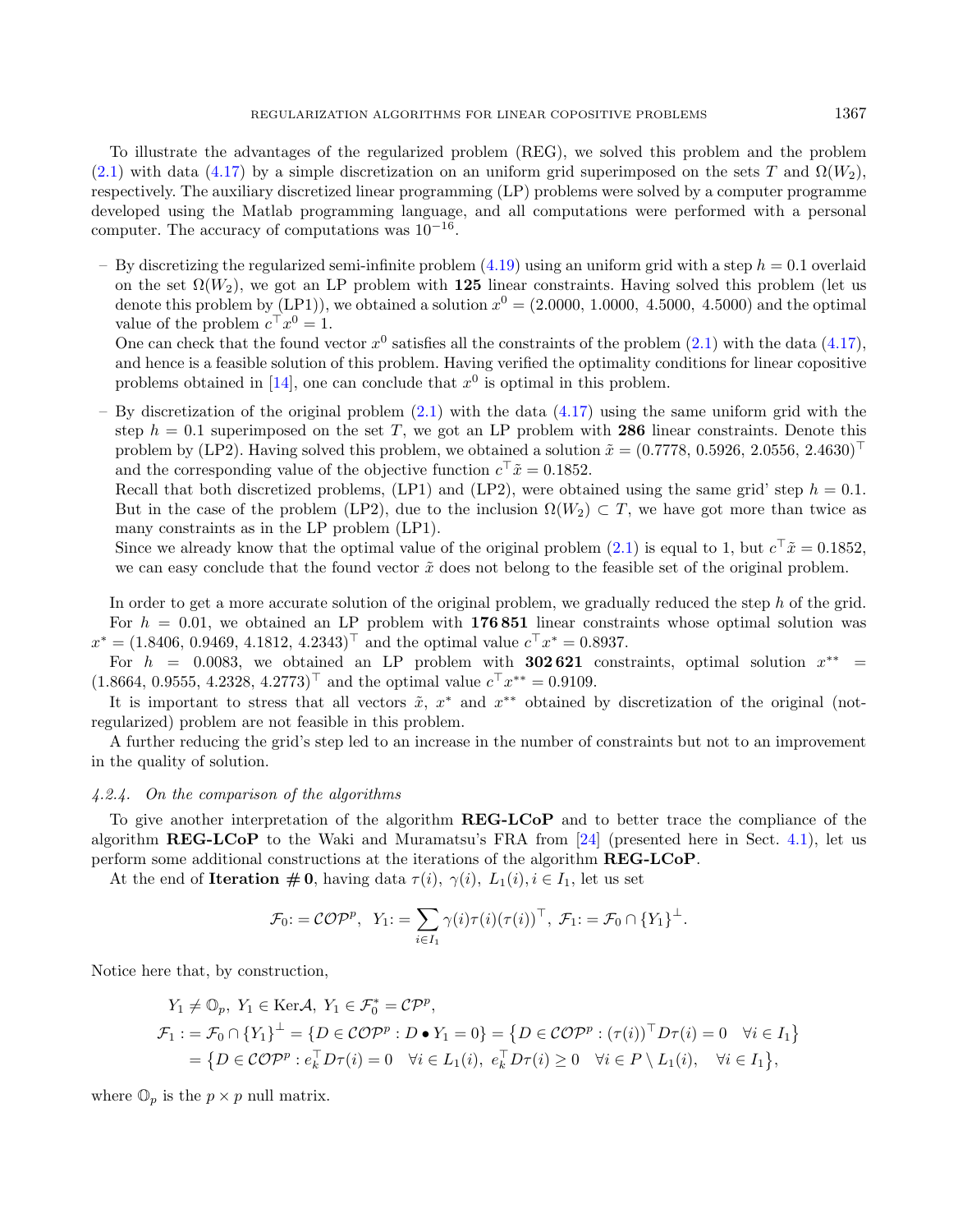To illustrate the advantages of the regularized problem (REG), we solved this problem and the problem [\(2.1\)](#page-2-1) with data [\(4.17\)](#page-12-2) by a simple discretization on an uniform grid superimposed on the sets T and  $\Omega(W_2)$ , respectively. The auxiliary discretized linear programming (LP) problems were solved by a computer programme developed using the Matlab programming language, and all computations were performed with a personal computer. The accuracy of computations was  $10^{-16}$ .

– By discretizing the regularized semi-infinite problem  $(4.19)$  using an uniform grid with a step  $h = 0.1$  overlaid on the set  $\Omega(W_2)$ , we got an LP problem with 125 linear constraints. Having solved this problem (let us denote this problem by (LP1)), we obtained a solution  $x^0 = (2.0000, 1.0000, 4.5000, 4.5000)$  and the optimal value of the problem  $c^{\top} x^0 = 1$ .

One can check that the found vector  $x^0$  satisfies all the constraints of the problem  $(2.1)$  with the data  $(4.17)$ , and hence is a feasible solution of this problem. Having verified the optimality conditions for linear copositive problems obtained in [\[14\]](#page-18-17), one can conclude that  $x^0$  is optimal in this problem.

By discretization of the original problem  $(2.1)$  with the data  $(4.17)$  using the same uniform grid with the step  $h = 0.1$  superimposed on the set T, we got an LP problem with 286 linear constraints. Denote this problem by (LP2). Having solved this problem, we obtained a solution  $\tilde{x} = (0.7778, 0.5926, 2.0556, 2.4630)^{\top}$ and the corresponding value of the objective function  $c^{\top} \tilde{x} = 0.1852$ .

Recall that both discretized problems,  $(LP1)$  and  $(LP2)$ , were obtained using the same grid' step  $h = 0.1$ . But in the case of the problem (LP2), due to the inclusion  $\Omega(W_2) \subset T$ , we have got more than twice as many constraints as in the LP problem (LP1).

Since we already know that the optimal value of the original problem  $(2.1)$  is equal to 1, but  $c^{\top}\tilde{x} = 0.1852$ , we can easy conclude that the found vector  $\tilde{x}$  does not belong to the feasible set of the original problem.

In order to get a more accurate solution of the original problem, we gradually reduced the step h of the grid. For  $h = 0.01$ , we obtained an LP problem with 176 851 linear constraints whose optimal solution was  $x^* = (1.8406, 0.9469, 4.1812, 4.2343)^\top$  and the optimal value  $c^\top x^* = 0.8937$ .

For  $h = 0.0083$ , we obtained an LP problem with **302621** constraints, optimal solution  $x^{**}$  $(1.8664, 0.9555, 4.2328, 4.2773)$ <sup>T</sup> and the optimal value  $c^{\top}x^{**} = 0.9109$ .

It is important to stress that all vectors  $\tilde{x}$ ,  $x^*$  and  $x^{**}$  obtained by discretization of the original (notregularized) problem are not feasible in this problem.

A further reducing the grid's step led to an increase in the number of constraints but not to an improvement in the quality of solution.

#### 4.2.4. On the comparison of the algorithms

To give another interpretation of the algorithm REG-LCoP and to better trace the compliance of the algorithm  $REG-LCDP$  to the Waki and Muramatsu's FRA from [\[24\]](#page-18-12) (presented here in Sect. [4.1\)](#page-8-0), let us perform some additional constructions at the iterations of the algorithm REG-LCoP.

At the end of **Iteration**  $\# 0$ , having data  $\tau(i)$ ,  $\gamma(i)$ ,  $L_1(i)$ ,  $i \in I_1$ , let us set

$$
\mathcal{F}_0: = \mathcal{COP}^p, \ \ Y_1: = \sum_{i \in I_1} \gamma(i) \tau(i) (\tau(i))^{\top}, \ \mathcal{F}_1: = \mathcal{F}_0 \cap \{Y_1\}^{\perp}.
$$

Notice here that, by construction,

$$
Y_1 \neq \mathbb{O}_p, Y_1 \in \text{Ker}\mathcal{A}, Y_1 \in \mathcal{F}_0^* = \mathcal{CP}^p,
$$
  
\n
$$
\mathcal{F}_1 := \mathcal{F}_0 \cap \{Y_1\}^{\perp} = \{D \in \mathcal{COP}^p : D \bullet Y_1 = 0\} = \{D \in \mathcal{COP}^p : (\tau(i))^{\top} D \tau(i) = 0 \quad \forall i \in I_1\}
$$
  
\n
$$
= \{D \in \mathcal{COP}^p : e_k^{\top} D \tau(i) = 0 \quad \forall i \in L_1(i), e_k^{\top} D \tau(i) \geq 0 \quad \forall i \in P \setminus L_1(i), \quad \forall i \in I_1\},
$$

where  $\mathbb{O}_p$  is the  $p \times p$  null matrix.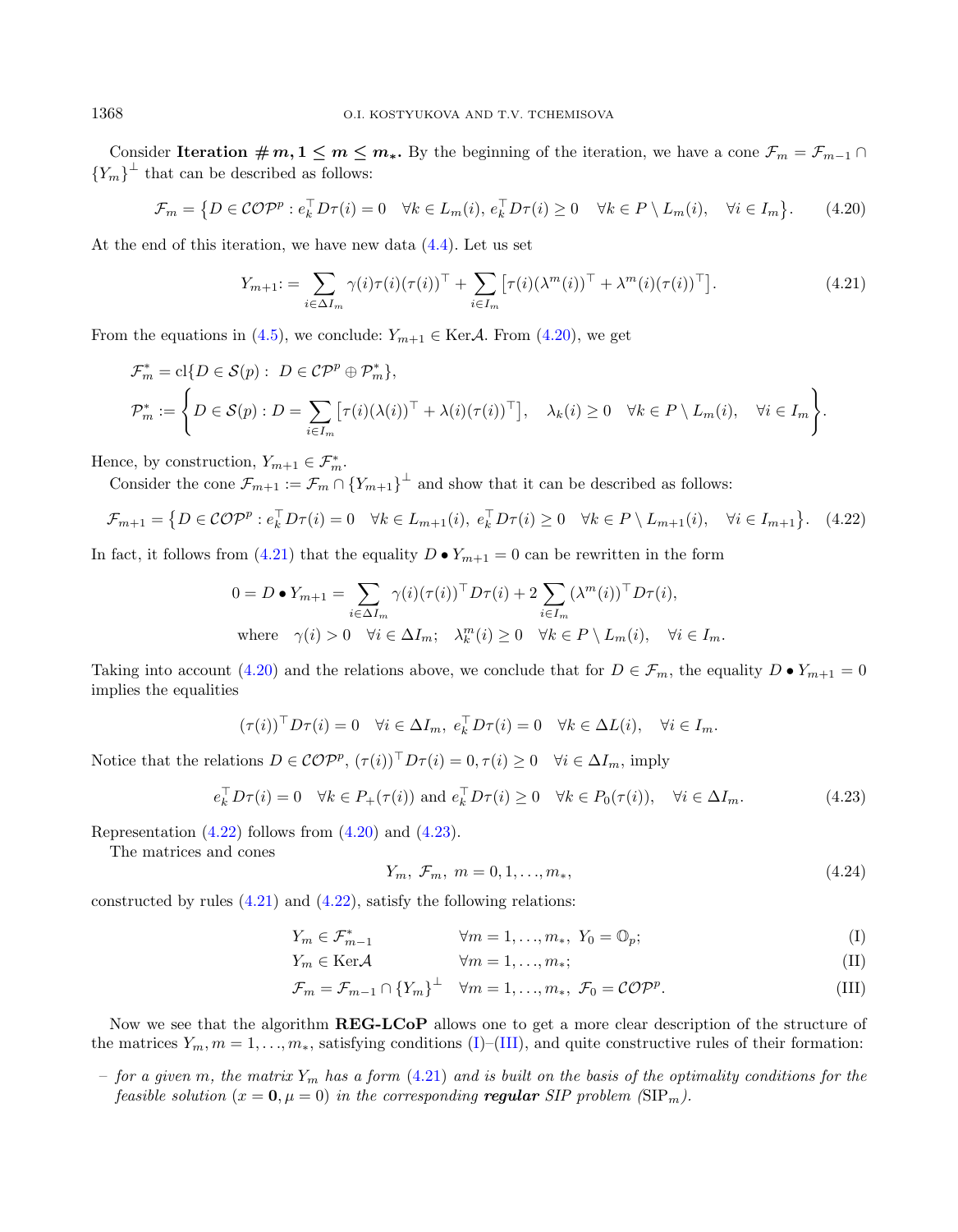Consider Iteration  $\# m, 1 \leq m \leq m_*$ . By the beginning of the iteration, we have a cone  $\mathcal{F}_m = \mathcal{F}_{m-1} \cap$  ${Y_m}^{\perp}$  that can be described as follows:

<span id="page-15-0"></span>
$$
\mathcal{F}_m = \left\{ D \in \mathcal{COP}^p : e_k^\top D\tau(i) = 0 \quad \forall k \in L_m(i), \, e_k^\top D\tau(i) \ge 0 \quad \forall k \in P \setminus L_m(i), \quad \forall i \in I_m \right\}.
$$
 (4.20)

At the end of this iteration, we have new data [\(4.4\)](#page-9-1). Let us set

<span id="page-15-2"></span><span id="page-15-1"></span>
$$
Y_{m+1} = \sum_{i \in \Delta I_m} \gamma(i) \tau(i) (\tau(i))^{\top} + \sum_{i \in I_m} [\tau(i) (\lambda^m(i))^{\top} + \lambda^m(i) (\tau(i))^{\top}]. \tag{4.21}
$$

From the equations in [\(4.5\)](#page-10-0), we conclude:  $Y_{m+1} \in \text{Ker}\mathcal{A}$ . From [\(4.20\)](#page-15-0), we get

$$
\mathcal{F}_m^* = \text{cl}\{D \in \mathcal{S}(p) : D \in \mathcal{CP}^p \oplus \mathcal{P}_m^*\},
$$
  

$$
\mathcal{P}_m^* := \left\{D \in \mathcal{S}(p) : D = \sum_{i \in I_m} \left[\tau(i)(\lambda(i))^{\top} + \lambda(i)(\tau(i))^{\top}\right], \quad \lambda_k(i) \ge 0 \quad \forall k \in P \setminus L_m(i), \quad \forall i \in I_m\right\}.
$$

Hence, by construction,  $Y_{m+1} \in \mathcal{F}_m^*$ .

Consider the cone  $\mathcal{F}_{m+1} := \mathcal{F}_m \cap \{Y_{m+1}\}^{\perp}$  and show that it can be described as follows:

$$
\mathcal{F}_{m+1} = \left\{ D \in \mathcal{COP}^p : e_k^\top D\tau(i) = 0 \quad \forall k \in L_{m+1}(i), \ e_k^\top D\tau(i) \ge 0 \quad \forall k \in P \setminus L_{m+1}(i), \quad \forall i \in I_{m+1} \right\}.
$$
 (4.22)

In fact, it follows from [\(4.21\)](#page-15-1) that the equality  $D \bullet Y_{m+1} = 0$  can be rewritten in the form

<span id="page-15-4"></span>
$$
0 = D \bullet Y_{m+1} = \sum_{i \in \Delta I_m} \gamma(i) (\tau(i))^{\top} D \tau(i) + 2 \sum_{i \in I_m} (\lambda^m(i))^{\top} D \tau(i),
$$
  
where  $\gamma(i) > 0 \quad \forall i \in \Delta I_m; \quad \lambda_k^m(i) \ge 0 \quad \forall k \in P \setminus L_m(i), \quad \forall i \in I_m.$ 

Taking into account [\(4.20\)](#page-15-0) and the relations above, we conclude that for  $D \in \mathcal{F}_m$ , the equality  $D \bullet Y_{m+1} = 0$ implies the equalities

$$
(\tau(i))^{\top} D \tau(i) = 0 \quad \forall i \in \Delta I_m, \ e_k^{\top} D \tau(i) = 0 \quad \forall k \in \Delta L(i), \quad \forall i \in I_m.
$$

Notice that the relations  $D \in \mathcal{COP}^p$ ,  $(\tau(i))^{\top} D \tau(i) = 0, \tau(i) \geq 0 \quad \forall i \in \Delta I_m$ , imply

$$
e_k^{\top} D\tau(i) = 0 \quad \forall k \in P_+(\tau(i)) \text{ and } e_k^{\top} D\tau(i) \ge 0 \quad \forall k \in P_0(\tau(i)), \quad \forall i \in \Delta I_m.
$$
 (4.23)

Representation  $(4.22)$  follows from  $(4.20)$  and  $(4.23)$ .

The matrices and cones

<span id="page-15-3"></span>
$$
Y_m, \, \mathcal{F}_m, \, m = 0, 1, \dots, m_*, \tag{4.24}
$$

constructed by rules  $(4.21)$  and  $(4.22)$ , satisfy the following relations:

$$
Y_m \in \mathcal{F}_{m-1}^* \qquad \qquad \forall m = 1, \dots, m_*, \ Y_0 = \mathbb{O}_p; \tag{I}
$$

$$
Y_m \in \text{Ker}\mathcal{A} \qquad \qquad \forall m = 1, \dots, m_*; \tag{II}
$$

$$
\mathcal{F}_m = \mathcal{F}_{m-1} \cap \{Y_m\}^\perp \quad \forall m = 1, \dots, m_*, \ \mathcal{F}_0 = \mathcal{COP}^p. \tag{III}
$$

Now we see that the algorithm **REG-LCoP** allows one to get a more clear description of the structure of the matrices  $Y_m, m = 1, \ldots, m_*$ , satisfying conditions [\(I\)](#page-15-4)–[\(III\)](#page-15-4), and quite constructive rules of their formation:

– for a given m, the matrix  $Y_m$  has a form [\(4.21\)](#page-15-1) and is built on the basis of the optimality conditions for the feasible solution  $(x = 0, \mu = 0)$  in the corresponding regular SIP problem  $(SIP_m)$ .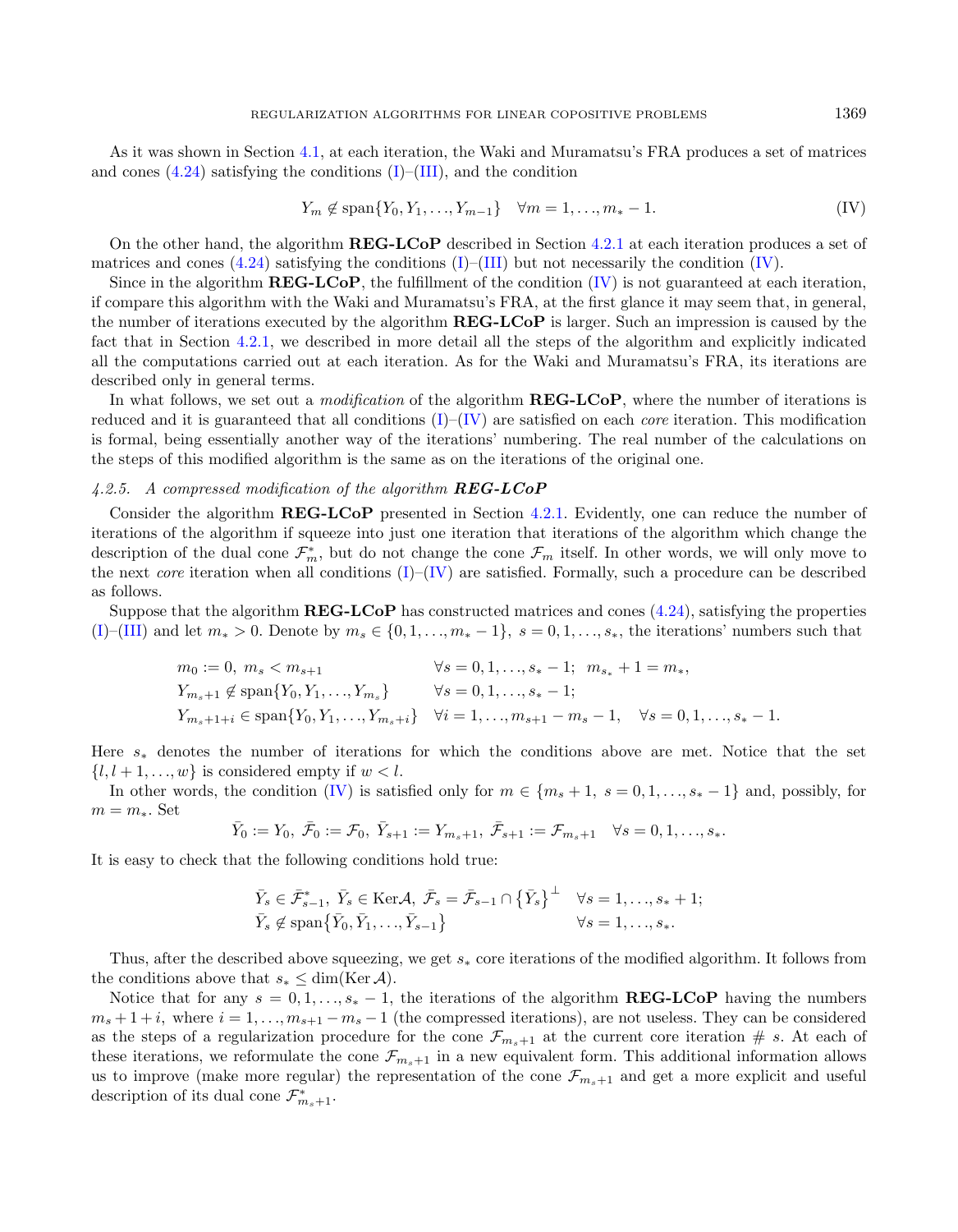As it was shown in Section [4.1,](#page-8-0) at each iteration, the Waki and Muramatsu's FRA produces a set of matrices and cones  $(4.24)$  satisfying the conditions  $(I)$ – $(III)$ , and the condition

$$
Y_m \notin \text{span}\{Y_0, Y_1, \dots, Y_{m-1}\} \quad \forall m = 1, \dots, m_* - 1. \tag{IV}
$$

On the other hand, the algorithm REG-LCoP described in Section [4.2.1](#page-9-4) at each iteration produces a set of matrices and cones  $(4.24)$  satisfying the conditions  $(I)$ – $(III)$  but not necessarily the condition [\(IV\)](#page-15-4).

Since in the algorithm  $REG-LCDP$ , the fulfillment of the condition  $(IV)$  is not guaranteed at each iteration, if compare this algorithm with the Waki and Muramatsu's FRA, at the first glance it may seem that, in general, the number of iterations executed by the algorithm REG-LCoP is larger. Such an impression is caused by the fact that in Section [4.2.1,](#page-9-4) we described in more detail all the steps of the algorithm and explicitly indicated all the computations carried out at each iteration. As for the Waki and Muramatsu's FRA, its iterations are described only in general terms.

In what follows, we set out a *modification* of the algorithm **REG-LCoP**, where the number of iterations is reduced and it is guaranteed that all conditions  $(I)$ – $(IV)$  are satisfied on each *core* iteration. This modification is formal, being essentially another way of the iterations' numbering. The real number of the calculations on the steps of this modified algorithm is the same as on the iterations of the original one.

## 4.2.5. A compressed modification of the algorithm  $REG-LCoP$

Consider the algorithm REG-LCoP presented in Section [4.2.1.](#page-9-4) Evidently, one can reduce the number of iterations of the algorithm if squeeze into just one iteration that iterations of the algorithm which change the description of the dual cone  $\mathcal{F}_m^*$ , but do not change the cone  $\mathcal{F}_m$  itself. In other words, we will only move to the next *core* iteration when all conditions  $(I)$ – $(IV)$  are satisfied. Formally, such a procedure can be described as follows.

Suppose that the algorithm REG-LCoP has constructed matrices and cones [\(4.24\)](#page-15-4), satisfying the properties [\(I\)](#page-15-4)–[\(III\)](#page-15-4) and let  $m_* > 0$ . Denote by  $m_s \in \{0, 1, \ldots, m_* - 1\}$ ,  $s = 0, 1, \ldots, s_*$ , the iterations' numbers such that

$$
m_0 := 0, m_s < m_{s+1} \qquad \forall s = 0, 1, \dots, s_* - 1; \quad m_{s_*} + 1 = m_*,
$$
\n
$$
Y_{m_s+1} \notin \text{span}\{Y_0, Y_1, \dots, Y_{m_s}\} \qquad \forall s = 0, 1, \dots, s_* - 1;
$$
\n
$$
Y_{m_s+1+i} \in \text{span}\{Y_0, Y_1, \dots, Y_{m_s+i}\} \qquad \forall i = 1, \dots, m_{s+1} - m_s - 1, \quad \forall s = 0, 1, \dots, s_* - 1.
$$

Here  $s_*$  denotes the number of iterations for which the conditions above are met. Notice that the set  $\{l, l+1, \ldots, w\}$  is considered empty if  $w < l$ .

In other words, the condition [\(IV\)](#page-15-4) is satisfied only for  $m \in \{m_s + 1, s = 0, 1, \ldots, s_* - 1\}$  and, possibly, for  $m = m_*$ . Set

$$
\bar{Y}_0 := Y_0, \ \bar{\mathcal{F}}_0 := \mathcal{F}_0, \ \bar{Y}_{s+1} := Y_{m_s+1}, \ \bar{\mathcal{F}}_{s+1} := \mathcal{F}_{m_s+1} \quad \forall s = 0, 1, \dots, s_*.
$$

It is easy to check that the following conditions hold true:

$$
\begin{aligned}\n\bar{Y}_s \in \bar{\mathcal{F}}_{s-1}^*, \ \bar{Y}_s \in \text{Ker}\mathcal{A}, \ \bar{\mathcal{F}}_s = \bar{\mathcal{F}}_{s-1} \cap \left\{ \bar{Y}_s \right\}^\perp &\forall s = 1, \dots, s_* + 1; \\
\bar{Y}_s \notin \text{span}\left\{ \bar{Y}_0, \bar{Y}_1, \dots, \bar{Y}_{s-1} \right\} &\forall s = 1, \dots, s_*.\n\end{aligned}
$$

Thus, after the described above squeezing, we get  $s_*$  core iterations of the modified algorithm. It follows from the conditions above that  $s_* \leq \dim(\text{Ker } A)$ .

Notice that for any  $s = 0, 1, \ldots, s_* - 1$ , the iterations of the algorithm **REG-LCoP** having the numbers  $m_s + 1 + i$ , where  $i = 1, ..., m_{s+1} - m_s - 1$  (the compressed iterations), are not useless. They can be considered as the steps of a regularization procedure for the cone  $\mathcal{F}_{m_s+1}$  at the current core iteration # s. At each of these iterations, we reformulate the cone  $\mathcal{F}_{m_s+1}$  in a new equivalent form. This additional information allows us to improve (make more regular) the representation of the cone  $\mathcal{F}_{m_s+1}$  and get a more explicit and useful description of its dual cone  $\mathcal{F}_{m_s+1}^*$ .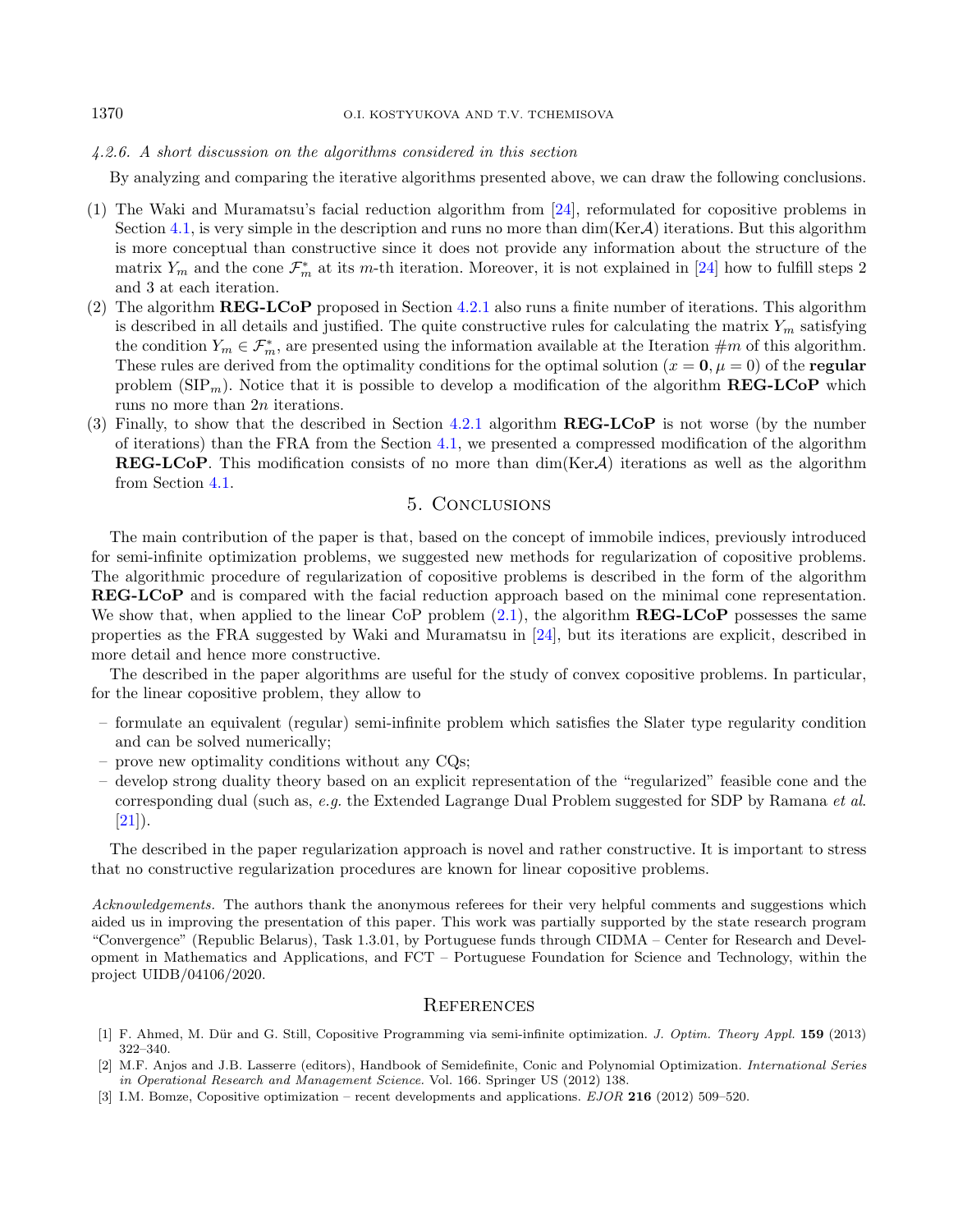4.2.6. A short discussion on the algorithms considered in this section

By analyzing and comparing the iterative algorithms presented above, we can draw the following conclusions.

- (1) The Waki and Muramatsu's facial reduction algorithm from [\[24\]](#page-18-12), reformulated for copositive problems in Section [4.1,](#page-8-0) is very simple in the description and runs no more than  $\dim(\text{Ker}\mathcal{A})$  iterations. But this algorithm is more conceptual than constructive since it does not provide any information about the structure of the matrix  $Y_m$  and the cone  $\mathcal{F}_m^*$  at its m-th iteration. Moreover, it is not explained in [\[24\]](#page-18-12) how to fulfill steps 2 and 3 at each iteration.
- (2) The algorithm REG-LCoP proposed in Section [4.2.1](#page-9-4) also runs a finite number of iterations. This algorithm is described in all details and justified. The quite constructive rules for calculating the matrix  $Y_m$  satisfying the condition  $Y_m \in \mathcal{F}_m^*$ , are presented using the information available at the Iteration  $\#m$  of this algorithm. These rules are derived from the optimality conditions for the optimal solution ( $x = 0, \mu = 0$ ) of the regular problem ( $\text{SIP}_m$ ). Notice that it is possible to develop a modification of the algorithm **REG-LCoP** which runs no more than  $2n$  iterations.
- (3) Finally, to show that the described in Section [4.2.1](#page-9-4) algorithm REG-LCoP is not worse (by the number of iterations) than the FRA from the Section [4.1,](#page-8-0) we presented a compressed modification of the algorithm **REG-LCoP**. This modification consists of no more than  $\dim(\text{Ker}\mathcal{A})$  iterations as well as the algorithm from Section [4.1.](#page-8-0)

# 5. Conclusions

<span id="page-17-3"></span>The main contribution of the paper is that, based on the concept of immobile indices, previously introduced for semi-infinite optimization problems, we suggested new methods for regularization of copositive problems. The algorithmic procedure of regularization of copositive problems is described in the form of the algorithm REG-LCoP and is compared with the facial reduction approach based on the minimal cone representation. We show that, when applied to the linear CoP problem  $(2.1)$ , the algorithm  $REG-LCoP$  possesses the same properties as the FRA suggested by Waki and Muramatsu in [\[24\]](#page-18-12), but its iterations are explicit, described in more detail and hence more constructive.

The described in the paper algorithms are useful for the study of convex copositive problems. In particular, for the linear copositive problem, they allow to

- formulate an equivalent (regular) semi-infinite problem which satisfies the Slater type regularity condition and can be solved numerically;
- prove new optimality conditions without any CQs;
- <span id="page-17-1"></span>– develop strong duality theory based on an explicit representation of the "regularized" feasible cone and the corresponding dual (such as, e.g. the Extended Lagrange Dual Problem suggested for SDP by Ramana et al.  $[21]$ ).

<span id="page-17-2"></span><span id="page-17-0"></span>The described in the paper regularization approach is novel and rather constructive. It is important to stress that no constructive regularization procedures are known for linear copositive problems.

Acknowledgements. The authors thank the anonymous referees for their very helpful comments and suggestions which aided us in improving the presentation of this paper. This work was partially supported by the state research program "Convergence" (Republic Belarus), Task 1.3.01, by Portuguese funds through CIDMA – Center for Research and Development in Mathematics and Applications, and FCT – Portuguese Foundation for Science and Technology, within the project UIDB/04106/2020.

#### **REFERENCES**

- [1] F. Ahmed, M. Dür and G. Still, Copositive Programming via semi-infinite optimization. J. Optim. Theory Appl. 159 (2013) 322–340.
- [2] M.F. Anjos and J.B. Lasserre (editors), Handbook of Semidefinite, Conic and Polynomial Optimization. International Series in Operational Research and Management Science. Vol. 166. Springer US (2012) 138.
- [3] I.M. Bomze, Copositive optimization recent developments and applications. EJOR 216 (2012) 509–520.